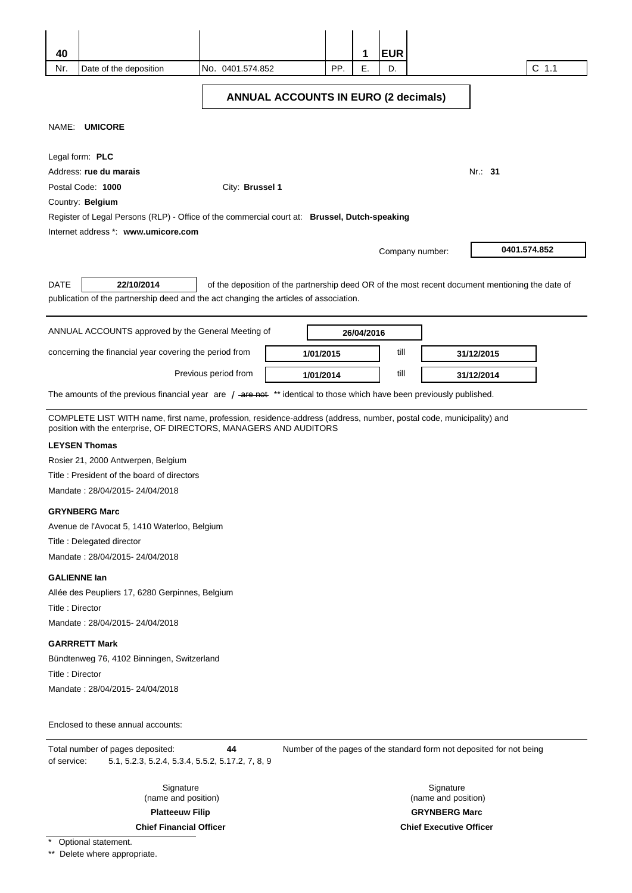| 40<br>Nr.       | Date of the deposition                                                                                                                                                                   | No. 0401.574.852     |                                             | PP. | 1<br>Е.    | <b>EUR</b><br>D. | $C$ 1.1                                                                                         |
|-----------------|------------------------------------------------------------------------------------------------------------------------------------------------------------------------------------------|----------------------|---------------------------------------------|-----|------------|------------------|-------------------------------------------------------------------------------------------------|
|                 |                                                                                                                                                                                          |                      | <b>ANNUAL ACCOUNTS IN EURO (2 decimals)</b> |     |            |                  |                                                                                                 |
|                 | NAME: UMICORE                                                                                                                                                                            |                      |                                             |     |            |                  |                                                                                                 |
|                 | Legal form: PLC<br>Address: rue du marais<br>Postal Code: 1000<br>Country: Belgium                                                                                                       | City: Brussel 1      |                                             |     |            |                  | Nr.: 31                                                                                         |
|                 | Register of Legal Persons (RLP) - Office of the commercial court at: Brussel, Dutch-speaking<br>Internet address *: www.umicore.com                                                      |                      |                                             |     |            |                  |                                                                                                 |
|                 |                                                                                                                                                                                          |                      |                                             |     |            |                  | 0401.574.852<br>Company number:                                                                 |
| <b>DATE</b>     | 22/10/2014<br>publication of the partnership deed and the act changing the articles of association.                                                                                      |                      |                                             |     |            |                  | of the deposition of the partnership deed OR of the most recent document mentioning the date of |
|                 | ANNUAL ACCOUNTS approved by the General Meeting of                                                                                                                                       |                      |                                             |     | 26/04/2016 |                  |                                                                                                 |
|                 | concerning the financial year covering the period from                                                                                                                                   |                      | 1/01/2015                                   |     |            | till             | 31/12/2015                                                                                      |
|                 |                                                                                                                                                                                          | Previous period from | 1/01/2014                                   |     |            | till             | 31/12/2014                                                                                      |
|                 | The amounts of the previous financial year are $/$ -are net $**$ identical to those which have been previously published.                                                                |                      |                                             |     |            |                  |                                                                                                 |
|                 | COMPLETE LIST WITH name, first name, profession, residence-address (address, number, postal code, municipality) and<br>position with the enterprise, OF DIRECTORS, MANAGERS AND AUDITORS |                      |                                             |     |            |                  |                                                                                                 |
|                 | <b>LEYSEN Thomas</b><br>Rosier 21, 2000 Antwerpen, Belgium<br>Title: President of the board of directors<br>Mandate: 28/04/2015-24/04/2018                                               |                      |                                             |     |            |                  |                                                                                                 |
|                 | <b>GRYNBERG Marc</b><br>Avenue de l'Avocat 5, 1410 Waterloo, Belgium<br>Title: Delegated director<br>Mandate: 28/04/2015-24/04/2018                                                      |                      |                                             |     |            |                  |                                                                                                 |
| Title: Director | <b>GALIENNE lan</b><br>Allée des Peupliers 17, 6280 Gerpinnes, Belgium<br>Mandate: 28/04/2015-24/04/2018                                                                                 |                      |                                             |     |            |                  |                                                                                                 |
| Title: Director | <b>GARRRETT Mark</b><br>Bündtenweg 76, 4102 Binningen, Switzerland<br>Mandate: 28/04/2015-24/04/2018                                                                                     |                      |                                             |     |            |                  |                                                                                                 |
|                 | Enclosed to these annual accounts:                                                                                                                                                       |                      |                                             |     |            |                  |                                                                                                 |
| of service:     | Total number of pages deposited:<br>5.1, 5.2.3, 5.2.4, 5.3.4, 5.5.2, 5.17.2, 7, 8, 9                                                                                                     | 44                   |                                             |     |            |                  | Number of the pages of the standard form not deposited for not being                            |
|                 | Signature                                                                                                                                                                                |                      |                                             |     |            |                  | Signature                                                                                       |

(name and position)

**Platteeuw Filip** 

**Chief Financial Officer** 

\* Optional statement.

\*\* Delete where appropriate.

**GRYNBERG Marc Chief Executive Officer** 

(name and position)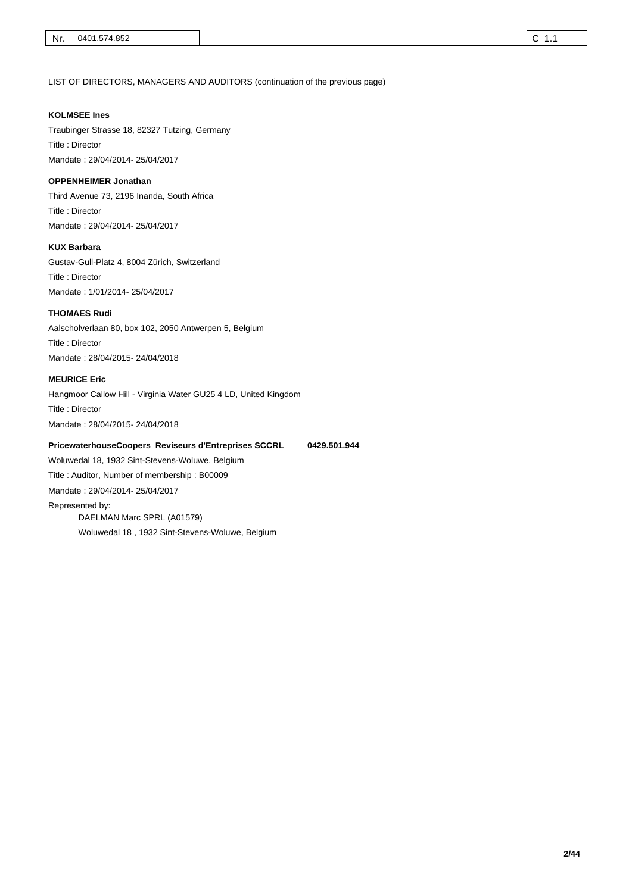LIST OF DIRECTORS, MANAGERS AND AUDITORS (continuation of the previous page)

#### **KOLMSEE Ines**

Traubinger Strasse 18, 82327 Tutzing, Germany Title : Director Mandate : 29/04/2014- 25/04/2017

#### **OPPENHEIMER Jonathan**

Third Avenue 73, 2196 Inanda, South Africa Title : Director Mandate : 29/04/2014- 25/04/2017

#### **KUX Barbara**

Gustav-Gull-Platz 4, 8004 Zürich, Switzerland Title : Director Mandate : 1/01/2014- 25/04/2017

#### **THOMAES Rudi**

Aalscholverlaan 80, box 102, 2050 Antwerpen 5, Belgium Title : Director Mandate : 28/04/2015- 24/04/2018

#### **MEURICE Eric**

Hangmoor Callow Hill - Virginia Water GU25 4 LD, United Kingdom Title : Director Mandate : 28/04/2015- 24/04/2018

#### **PricewaterhouseCoopers Reviseurs d'Entreprises SCCRL 0429.501.944**

Woluwedal 18, 1932 Sint-Stevens-Woluwe, Belgium Title : Auditor, Number of membership : B00009 Mandate : 29/04/2014- 25/04/2017 Represented by: DAELMAN Marc SPRL (A01579) Woluwedal 18 , 1932 Sint-Stevens-Woluwe, Belgium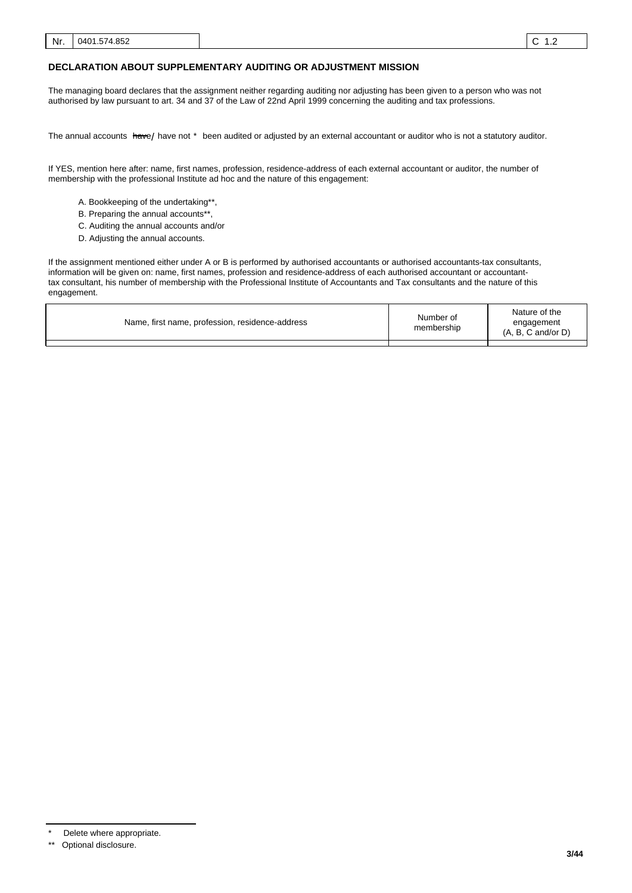#### **DECLARATION ABOUT SUPPLEMENTARY AUDITING OR ADJUSTMENT MISSION**

The managing board declares that the assignment neither regarding auditing nor adjusting has been given to a person who was not authorised by law pursuant to art. 34 and 37 of the Law of 22nd April 1999 concerning the auditing and tax professions.

The annual accounts <del>hav</del>e/ have not \* been audited or adjusted by an external accountant or auditor who is not a statutory auditor.

If YES, mention here after: name, first names, profession, residence-address of each external accountant or auditor, the number of membership with the professional Institute ad hoc and the nature of this engagement:

- A. Bookkeeping of the undertaking\*\*,
- B. Preparing the annual accounts\*\*
- C. Auditing the annual accounts and/or
- D. Adjusting the annual accounts.

If the assignment mentioned either under A or B is performed by authorised accountants or authorised accountants-tax consultants, information will be given on: name, first names, profession and residence-address of each authorised accountant or accountanttax consultant, his number of membership with the Professional Institute of Accountants and Tax consultants and the nature of this engagement.

| Name, first name, profession, residence-address | Number of<br>membership | Nature of the<br>engagement<br>$(A, B, C \text{ and/or } D)$ |
|-------------------------------------------------|-------------------------|--------------------------------------------------------------|
|                                                 |                         |                                                              |

Delete where appropriate.

<sup>\*\*</sup> Optional disclosure.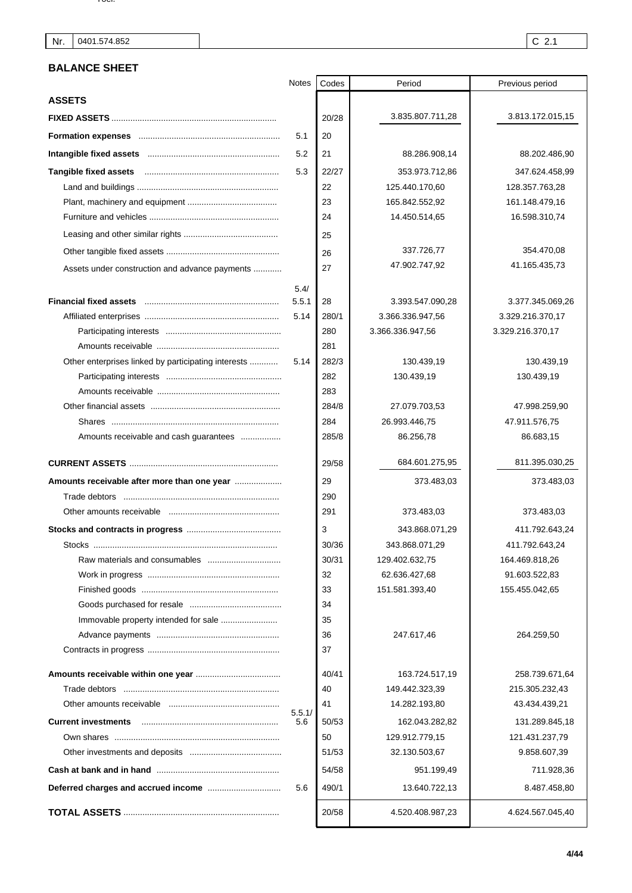### **BALANCE SHEET**

|                                                     | Notes  | Codes | Period           | Previous period  |
|-----------------------------------------------------|--------|-------|------------------|------------------|
| <b>ASSETS</b>                                       |        |       |                  |                  |
|                                                     |        | 20/28 | 3.835.807.711,28 | 3.813.172.015,15 |
|                                                     | 5.1    | 20    |                  |                  |
|                                                     | 5.2    | 21    | 88.286.908,14    | 88.202.486,90    |
|                                                     | 5.3    | 22/27 | 353.973.712,86   | 347.624.458,99   |
|                                                     |        | 22    | 125.440.170,60   | 128.357.763,28   |
|                                                     |        | 23    | 165.842.552,92   | 161.148.479,16   |
|                                                     |        | 24    | 14.450.514,65    | 16.598.310,74    |
|                                                     |        | 25    |                  |                  |
|                                                     |        | 26    | 337.726,77       | 354.470,08       |
| Assets under construction and advance payments      |        | 27    | 47.902.747,92    | 41.165.435,73    |
|                                                     | 5.4/   |       |                  |                  |
|                                                     | 5.5.1  | 28    | 3.393.547.090,28 | 3.377.345.069,26 |
|                                                     | 5.14   | 280/1 | 3.366.336.947.56 | 3.329.216.370,17 |
|                                                     |        | 280   | 3.366.336.947,56 | 3.329.216.370,17 |
|                                                     |        | 281   |                  |                  |
| Other enterprises linked by participating interests | 5.14   | 282/3 | 130.439,19       | 130.439,19       |
|                                                     |        | 282   | 130.439,19       | 130.439,19       |
|                                                     |        | 283   |                  |                  |
|                                                     |        | 284/8 | 27.079.703,53    | 47.998.259,90    |
|                                                     |        | 284   | 26.993.446,75    | 47.911.576,75    |
| Amounts receivable and cash guarantees              |        | 285/8 | 86.256,78        | 86.683,15        |
|                                                     |        | 29/58 | 684.601.275,95   | 811.395.030,25   |
| Amounts receivable after more than one year         |        | 29    | 373.483,03       | 373.483,03       |
|                                                     |        | 290   |                  |                  |
|                                                     |        | 291   | 373.483,03       | 373.483,03       |
|                                                     |        | 3     | 343.868.071,29   | 411.792.643,24   |
|                                                     |        | 30/36 | 343.868.071,29   | 411.792.643,24   |
|                                                     |        | 30/31 | 129.402.632,75   | 164.469.818,26   |
|                                                     |        | 32    | 62.636.427,68    | 91.603.522,83    |
|                                                     |        | 33    | 151.581.393,40   | 155.455.042,65   |
|                                                     |        | 34    |                  |                  |
|                                                     |        | 35    |                  |                  |
|                                                     |        | 36    | 247.617,46       | 264.259,50       |
|                                                     |        | 37    |                  |                  |
|                                                     |        | 40/41 | 163.724.517,19   | 258.739.671,64   |
|                                                     |        | 40    | 149.442.323,39   | 215.305.232,43   |
|                                                     | 5.5.1/ | 41    | 14.282.193,80    | 43.434.439,21    |
| <b>Current investments</b>                          | 5.6    | 50/53 | 162.043.282,82   | 131.289.845,18   |
|                                                     |        | 50    | 129.912.779,15   | 121.431.237,79   |
|                                                     |        | 51/53 | 32.130.503,67    | 9.858.607,39     |
|                                                     |        | 54/58 | 951.199,49       | 711.928,36       |
|                                                     | 5.6    | 490/1 | 13.640.722,13    | 8.487.458,80     |
|                                                     |        | 20/58 | 4.520.408.987,23 | 4.624.567.045,40 |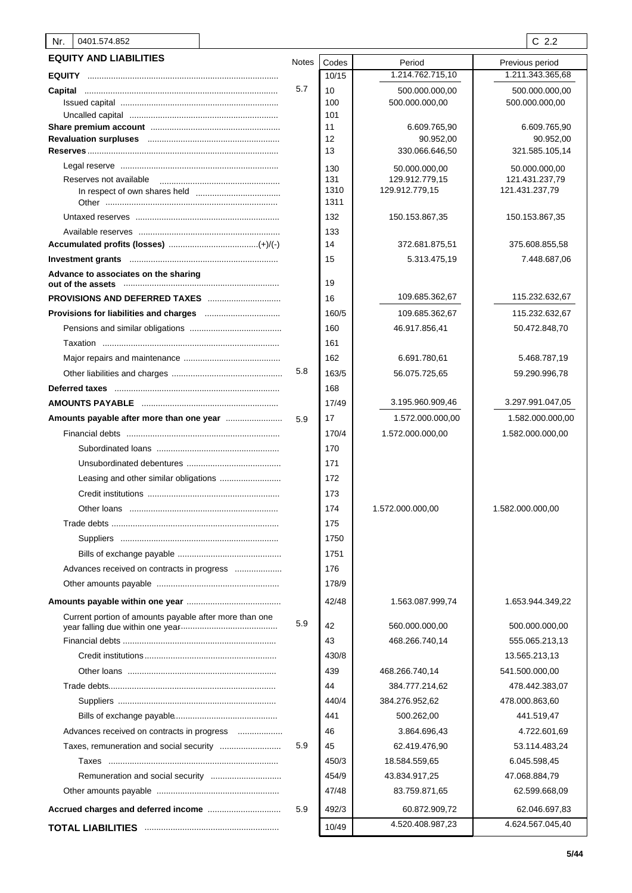| 0401.574.852<br>Nr.                                    |              |            |                                 | $C$ 2.2                         |
|--------------------------------------------------------|--------------|------------|---------------------------------|---------------------------------|
| <b>EQUITY AND LIABILITIES</b>                          | <b>Notes</b> | Codes      | Period                          | Previous period                 |
|                                                        |              | 10/15      | 1.214.762.715,10                | 1.211.343.365,68                |
| Capital                                                | 5.7          | 10         | 500.000.000,00                  | 500.000.000,00                  |
|                                                        |              | 100        | 500.000.000,00                  | 500.000.000,00                  |
|                                                        |              | 101        |                                 |                                 |
|                                                        |              | 11         | 6.609.765,90                    | 6.609.765,90                    |
|                                                        |              | 12<br>13   | 90.952,00<br>330.066.646,50     | 90.952,00<br>321.585.105,14     |
|                                                        |              |            |                                 |                                 |
| Reserves not available                                 |              | 130<br>131 | 50.000.000,00<br>129.912.779,15 | 50.000.000,00<br>121.431.237,79 |
|                                                        |              | 1310       | 129.912.779,15                  | 121.431.237,79                  |
|                                                        |              | 1311       |                                 |                                 |
|                                                        |              | 132        | 150.153.867,35                  | 150.153.867,35                  |
|                                                        |              | 133        |                                 |                                 |
|                                                        |              | 14         | 372.681.875,51                  | 375.608.855,58                  |
|                                                        |              | 15         | 5.313.475,19                    | 7.448.687,06                    |
| Advance to associates on the sharing                   |              | 19         |                                 |                                 |
| <b>PROVISIONS AND DEFERRED TAXES</b>                   |              | 16         | 109.685.362,67                  | 115.232.632,67                  |
|                                                        |              | 160/5      | 109.685.362,67                  | 115.232.632,67                  |
|                                                        |              | 160        | 46.917.856,41                   | 50.472.848,70                   |
|                                                        |              | 161        |                                 |                                 |
|                                                        |              | 162        | 6.691.780,61                    | 5.468.787,19                    |
|                                                        | 5.8          | 163/5      | 56.075.725,65                   | 59.290.996,78                   |
|                                                        |              | 168        |                                 |                                 |
|                                                        |              | 17/49      | 3.195.960.909,46                | 3.297.991.047,05                |
|                                                        | 5.9          | 17         | 1.572.000.000,00                | 1.582.000.000,00                |
|                                                        |              | 170/4      | 1.572.000.000,00                | 1.582.000.000,00                |
|                                                        |              | 170        |                                 |                                 |
|                                                        |              | 171        |                                 |                                 |
|                                                        |              | 172        |                                 |                                 |
|                                                        |              | 173        |                                 |                                 |
|                                                        |              | 174        | 1.572.000.000,00                | 1.582.000.000,00                |
|                                                        |              | 175        |                                 |                                 |
|                                                        |              | 1750       |                                 |                                 |
|                                                        |              | 1751       |                                 |                                 |
| Advances received on contracts in progress             |              | 176        |                                 |                                 |
|                                                        |              | 178/9      |                                 |                                 |
|                                                        |              | 42/48      | 1.563.087.999,74                | 1.653.944.349,22                |
| Current portion of amounts payable after more than one | 5.9          | 42         | 560.000.000,00                  | 500.000.000,00                  |
|                                                        |              | 43         | 468.266.740,14                  | 555.065.213,13                  |
|                                                        |              | 430/8      |                                 | 13.565.213,13                   |
|                                                        |              | 439        | 468.266.740,14                  | 541.500.000,00                  |
|                                                        |              | 44         | 384.777.214,62                  | 478.442.383,07                  |
|                                                        |              | 440/4      | 384.276.952,62                  | 478.000.863,60                  |
|                                                        |              | 441        | 500.262,00                      | 441.519,47                      |
| Advances received on contracts in progress             |              | 46         | 3.864.696,43                    | 4.722.601,69                    |
| Taxes, remuneration and social security                | 5.9          | 45         | 62.419.476,90                   | 53.114.483,24                   |
|                                                        |              | 450/3      |                                 |                                 |
|                                                        |              | 454/9      | 18.584.559,65                   | 6.045.598,45                    |
|                                                        |              | 47/48      | 43.834.917,25                   | 47.068.884,79                   |
|                                                        |              |            | 83.759.871,65                   | 62.599.668,09                   |
|                                                        | 5.9          | 492/3      | 60.872.909,72                   | 62.046.697,83                   |
|                                                        |              | 10/49      | 4.520.408.987,23                | 4.624.567.045,40                |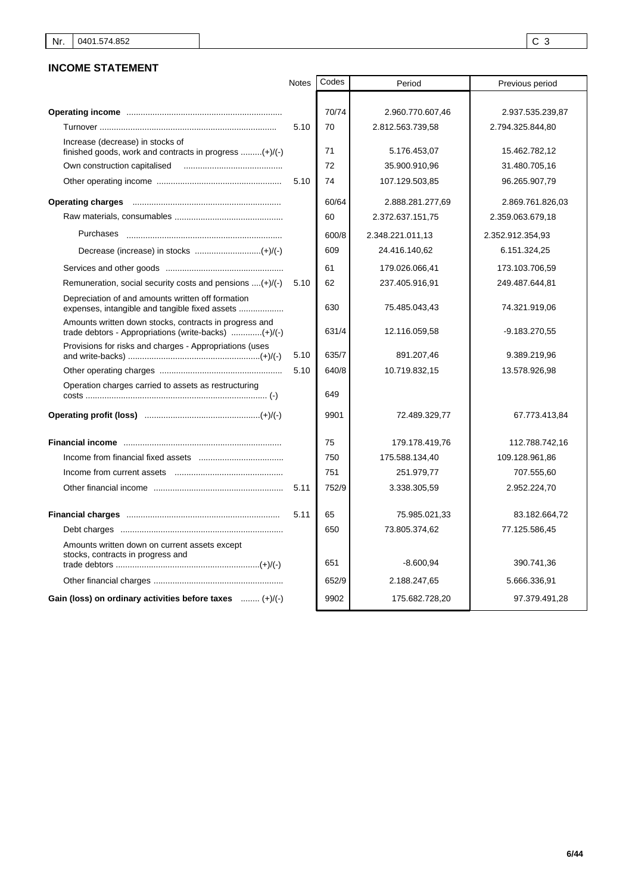### **INCOME STATEMENT**

|                                                                                                                | <b>Notes</b> | Codes | Period           | Previous period  |
|----------------------------------------------------------------------------------------------------------------|--------------|-------|------------------|------------------|
|                                                                                                                |              |       |                  |                  |
|                                                                                                                |              | 70/74 | 2.960.770.607,46 | 2.937.535.239,87 |
|                                                                                                                | 5.10         | 70    | 2.812.563.739.58 | 2.794.325.844,80 |
| Increase (decrease) in stocks of<br>finished goods, work and contracts in progress $(+)/(-)$                   |              | 71    | 5.176.453,07     | 15.462.782,12    |
| Own construction capitalised                                                                                   |              | 72    | 35.900.910,96    | 31.480.705,16    |
|                                                                                                                | 5.10         | 74    | 107.129.503,85   | 96.265.907,79    |
|                                                                                                                |              | 60/64 | 2.888.281.277,69 | 2.869.761.826,03 |
|                                                                                                                |              | 60    | 2.372.637.151,75 | 2.359.063.679,18 |
| <b>Purchases</b>                                                                                               |              | 600/8 | 2.348.221.011,13 | 2.352.912.354,93 |
|                                                                                                                |              | 609   | 24.416.140,62    | 6.151.324,25     |
|                                                                                                                |              | 61    | 179.026.066,41   | 173.103.706,59   |
| Remuneration, social security costs and pensions $\dots(+)/(-)$                                                | 5.10         | 62    | 237.405.916,91   | 249.487.644,81   |
| Depreciation of and amounts written off formation                                                              |              | 630   | 75.485.043,43    | 74.321.919,06    |
| Amounts written down stocks, contracts in progress and<br>trade debtors - Appropriations (write-backs) (+)/(-) |              | 631/4 | 12.116.059,58    | $-9.183.270,55$  |
| Provisions for risks and charges - Appropriations (uses                                                        | 5.10         | 635/7 | 891.207,46       | 9.389.219,96     |
|                                                                                                                | 5.10         | 640/8 | 10.719.832,15    | 13.578.926,98    |
| Operation charges carried to assets as restructuring                                                           |              | 649   |                  |                  |
|                                                                                                                |              | 9901  | 72.489.329,77    | 67.773.413,84    |
|                                                                                                                |              | 75    | 179.178.419,76   | 112.788.742,16   |
|                                                                                                                |              | 750   | 175.588.134,40   | 109.128.961,86   |
|                                                                                                                |              | 751   | 251.979,77       | 707.555,60       |
|                                                                                                                | 5.11         | 752/9 | 3.338.305,59     | 2.952.224,70     |
|                                                                                                                | 5.11         | 65    | 75.985.021,33    | 83.182.664,72    |
|                                                                                                                |              | 650   | 73.805.374,62    | 77.125.586,45    |
| Amounts written down on current assets except<br>stocks, contracts in progress and                             |              | 651   | $-8.600.94$      | 390.741,36       |
|                                                                                                                |              | 652/9 | 2.188.247,65     | 5.666.336,91     |
| Gain (loss) on ordinary activities before taxes  (+)/(-)                                                       |              | 9902  | 175.682.728,20   | 97.379.491,28    |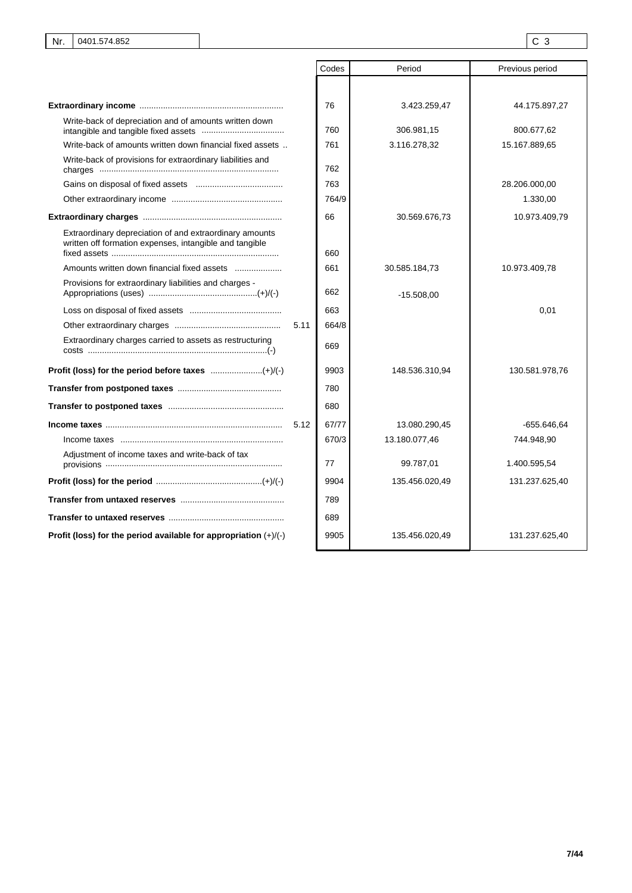|                                                                                                                    | Codes | Period         | Previous period |
|--------------------------------------------------------------------------------------------------------------------|-------|----------------|-----------------|
|                                                                                                                    |       |                |                 |
|                                                                                                                    | 76    | 3.423.259,47   | 44.175.897,27   |
| Write-back of depreciation and of amounts written down                                                             | 760   | 306.981,15     | 800.677,62      |
| Write-back of amounts written down financial fixed assets                                                          | 761   | 3.116.278,32   | 15.167.889,65   |
| Write-back of provisions for extraordinary liabilities and                                                         | 762   |                |                 |
|                                                                                                                    | 763   |                | 28.206.000,00   |
|                                                                                                                    | 764/9 |                | 1.330,00        |
|                                                                                                                    | 66    | 30.569.676,73  | 10.973.409,79   |
| Extraordinary depreciation of and extraordinary amounts<br>written off formation expenses, intangible and tangible | 660   |                |                 |
| Amounts written down financial fixed assets                                                                        | 661   | 30.585.184,73  | 10.973.409,78   |
| Provisions for extraordinary liabilities and charges -                                                             | 662   | $-15.508,00$   |                 |
|                                                                                                                    | 663   |                | 0,01            |
| 5.11                                                                                                               | 664/8 |                |                 |
| Extraordinary charges carried to assets as restructuring                                                           | 669   |                |                 |
|                                                                                                                    | 9903  | 148.536.310,94 | 130.581.978,76  |
|                                                                                                                    | 780   |                |                 |
|                                                                                                                    | 680   |                |                 |
| 5.12                                                                                                               | 67/77 | 13.080.290,45  | -655.646,64     |
|                                                                                                                    | 670/3 | 13.180.077,46  | 744.948,90      |
| Adjustment of income taxes and write-back of tax                                                                   | 77    | 99.787,01      | 1.400.595,54    |
|                                                                                                                    | 9904  | 135.456.020,49 | 131.237.625,40  |
|                                                                                                                    | 789   |                |                 |
|                                                                                                                    | 689   |                |                 |
| Profit (loss) for the period available for appropriation $(+)/(-)$                                                 | 9905  | 135.456.020.49 | 131.237.625.40  |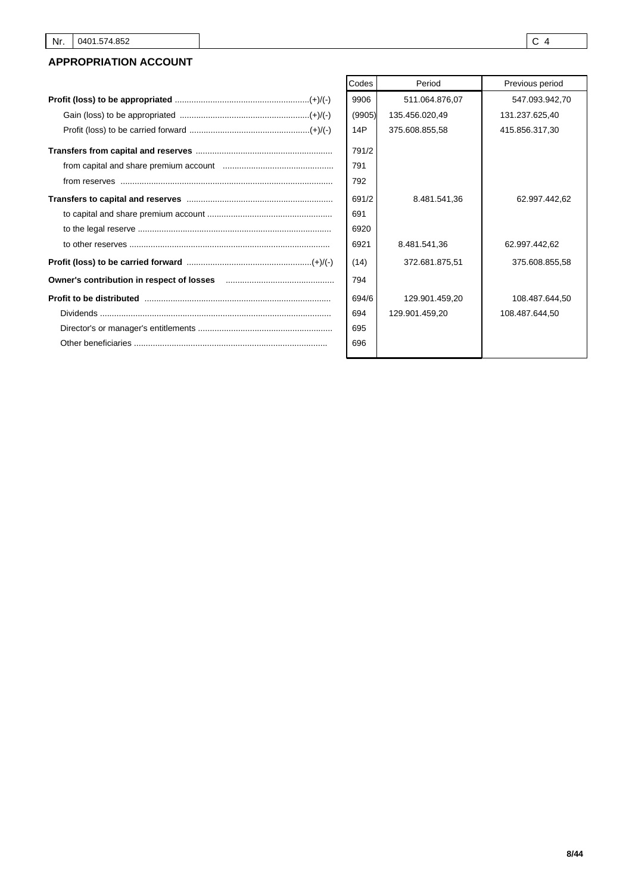### **APPROPRIATION ACCOUNT**

|                                                                                                                                                                                                                                                                                                                                                                                                                                | Codes  | Period         | Previous period |
|--------------------------------------------------------------------------------------------------------------------------------------------------------------------------------------------------------------------------------------------------------------------------------------------------------------------------------------------------------------------------------------------------------------------------------|--------|----------------|-----------------|
|                                                                                                                                                                                                                                                                                                                                                                                                                                | 9906   | 511.064.876,07 | 547.093.942,70  |
|                                                                                                                                                                                                                                                                                                                                                                                                                                | (9905) | 135.456.020,49 | 131.237.625,40  |
|                                                                                                                                                                                                                                                                                                                                                                                                                                | 14P    | 375.608.855,58 | 415.856.317,30  |
|                                                                                                                                                                                                                                                                                                                                                                                                                                | 791/2  |                |                 |
|                                                                                                                                                                                                                                                                                                                                                                                                                                | 791    |                |                 |
| $from \, \, \text{reserves} \, \, \, \ldots \, \, \ldots \, \, \ldots \, \, \ldots \, \, \ldots \, \, \ldots \, \, \ldots \, \, \ldots \, \, \ldots \, \, \ldots \, \, \ldots \, \, \ldots \, \, \ldots \, \, \ldots \, \, \ldots \, \, \ldots \, \, \ldots \, \, \ldots \, \, \ldots \, \, \ldots \, \, \ldots \, \, \ldots \, \, \ldots \, \, \ldots \, \, \ldots \, \, \ldots \, \, \ldots \, \, \ldots \, \, \ldots \, \,$ | 792    |                |                 |
|                                                                                                                                                                                                                                                                                                                                                                                                                                | 691/2  | 8.481.541,36   | 62.997.442,62   |
|                                                                                                                                                                                                                                                                                                                                                                                                                                | 691    |                |                 |
|                                                                                                                                                                                                                                                                                                                                                                                                                                | 6920   |                |                 |
|                                                                                                                                                                                                                                                                                                                                                                                                                                | 6921   | 8.481.541,36   | 62.997.442,62   |
|                                                                                                                                                                                                                                                                                                                                                                                                                                | (14)   | 372.681.875.51 | 375.608.855,58  |
|                                                                                                                                                                                                                                                                                                                                                                                                                                | 794    |                |                 |
|                                                                                                                                                                                                                                                                                                                                                                                                                                | 694/6  | 129.901.459,20 | 108.487.644.50  |
|                                                                                                                                                                                                                                                                                                                                                                                                                                | 694    | 129.901.459,20 | 108.487.644,50  |
|                                                                                                                                                                                                                                                                                                                                                                                                                                | 695    |                |                 |
|                                                                                                                                                                                                                                                                                                                                                                                                                                | 696    |                |                 |
|                                                                                                                                                                                                                                                                                                                                                                                                                                |        |                |                 |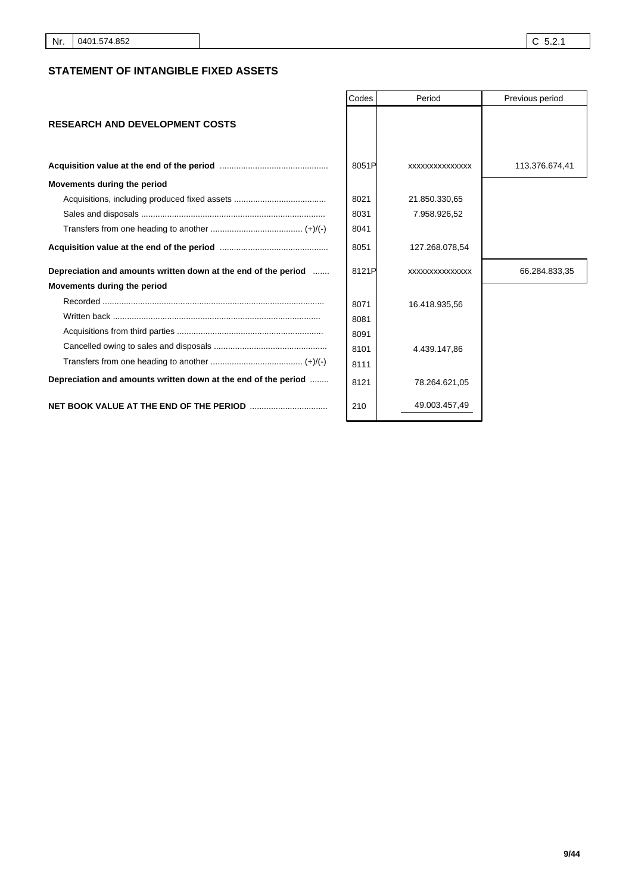### **STATEMENT OF INTANGIBLE FIXED ASSETS**

|                                                                | Codes | Period         | Previous period |
|----------------------------------------------------------------|-------|----------------|-----------------|
| <b>RESEARCH AND DEVELOPMENT COSTS</b>                          |       |                |                 |
|                                                                | 8051P | XXXXXXXXXXXXXX | 113.376.674,41  |
| Movements during the period                                    |       |                |                 |
|                                                                | 8021  | 21.850.330,65  |                 |
|                                                                | 8031  | 7.958.926,52   |                 |
|                                                                | 8041  |                |                 |
|                                                                | 8051  | 127.268.078,54 |                 |
| Depreciation and amounts written down at the end of the period | 8121P | XXXXXXXXXXXXXX | 66.284.833,35   |
| Movements during the period                                    |       |                |                 |
|                                                                | 8071  | 16.418.935,56  |                 |
|                                                                | 8081  |                |                 |
|                                                                | 8091  |                |                 |
|                                                                | 8101  | 4.439.147,86   |                 |
|                                                                | 8111  |                |                 |
| Depreciation and amounts written down at the end of the period | 8121  | 78.264.621,05  |                 |
|                                                                | 210   | 49.003.457,49  |                 |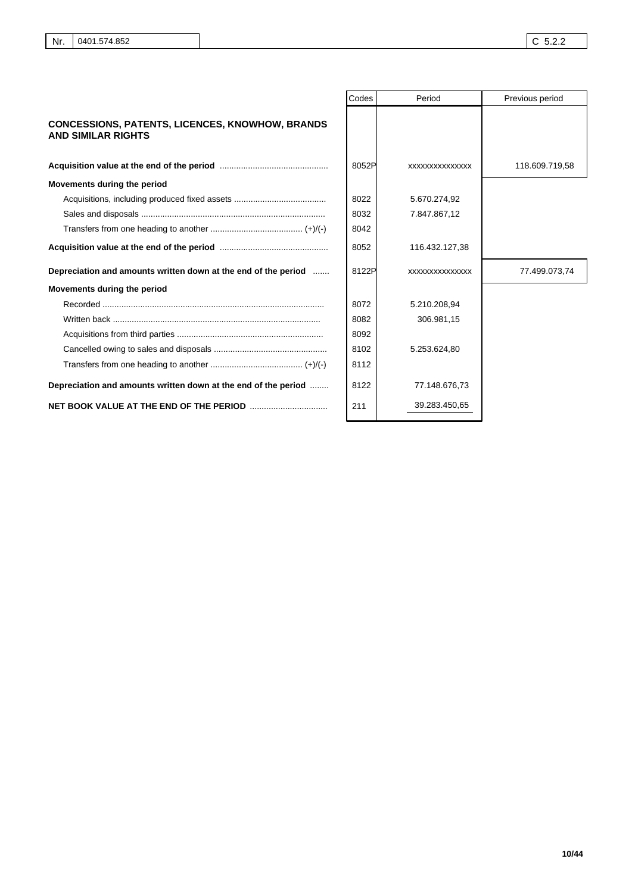|                                                                                     | Codes | Period         | Previous period |
|-------------------------------------------------------------------------------------|-------|----------------|-----------------|
| <b>CONCESSIONS, PATENTS, LICENCES, KNOWHOW, BRANDS</b><br><b>AND SIMILAR RIGHTS</b> |       |                |                 |
|                                                                                     | 8052P | XXXXXXXXXXXXXX | 118.609.719,58  |
| Movements during the period                                                         |       |                |                 |
|                                                                                     | 8022  | 5.670.274,92   |                 |
|                                                                                     | 8032  | 7.847.867,12   |                 |
|                                                                                     | 8042  |                |                 |
|                                                                                     | 8052  | 116.432.127,38 |                 |
| Depreciation and amounts written down at the end of the period                      | 8122P | XXXXXXXXXXXXXX | 77.499.073,74   |
| Movements during the period                                                         |       |                |                 |
|                                                                                     | 8072  | 5.210.208,94   |                 |
|                                                                                     | 8082  | 306.981,15     |                 |
|                                                                                     | 8092  |                |                 |
|                                                                                     | 8102  | 5.253.624,80   |                 |
|                                                                                     | 8112  |                |                 |
| Depreciation and amounts written down at the end of the period                      | 8122  | 77.148.676,73  |                 |
|                                                                                     | 211   | 39.283.450,65  |                 |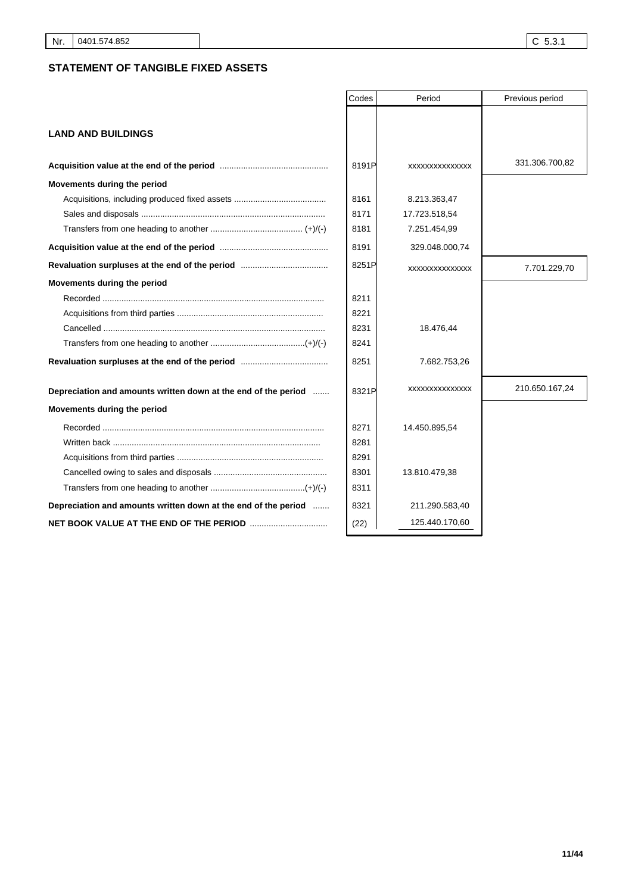### **STATEMENT OF TANGIBLE FIXED ASSETS**

|                                                                                 | Codes | Period         | Previous period |
|---------------------------------------------------------------------------------|-------|----------------|-----------------|
|                                                                                 |       |                |                 |
| <b>LAND AND BUILDINGS</b>                                                       |       |                |                 |
|                                                                                 | 8191P | XXXXXXXXXXXXXX | 331.306.700,82  |
| Movements during the period                                                     |       |                |                 |
|                                                                                 | 8161  | 8.213.363,47   |                 |
|                                                                                 | 8171  | 17.723.518,54  |                 |
|                                                                                 | 8181  | 7.251.454,99   |                 |
|                                                                                 | 8191  | 329.048.000,74 |                 |
|                                                                                 | 8251P | XXXXXXXXXXXXXX | 7.701.229,70    |
| Movements during the period                                                     |       |                |                 |
|                                                                                 | 8211  |                |                 |
|                                                                                 | 8221  |                |                 |
|                                                                                 | 8231  | 18.476,44      |                 |
|                                                                                 | 8241  |                |                 |
|                                                                                 | 8251  | 7.682.753,26   |                 |
| Depreciation and amounts written down at the end of the period                  | 8321P | XXXXXXXXXXXXXX | 210.650.167,24  |
| Movements during the period                                                     |       |                |                 |
|                                                                                 | 8271  | 14.450.895,54  |                 |
| Written back …………………………………………………………………………                                       | 8281  |                |                 |
|                                                                                 | 8291  |                |                 |
|                                                                                 | 8301  | 13.810.479,38  |                 |
|                                                                                 | 8311  |                |                 |
| Depreciation and amounts written down at the end of the period                  | 8321  | 211.290.583,40 |                 |
| <b>NET BOOK VALUE AT THE END OF THE PERIOD manual contract of AT THE PERIOD</b> | (22)  | 125.440.170,60 |                 |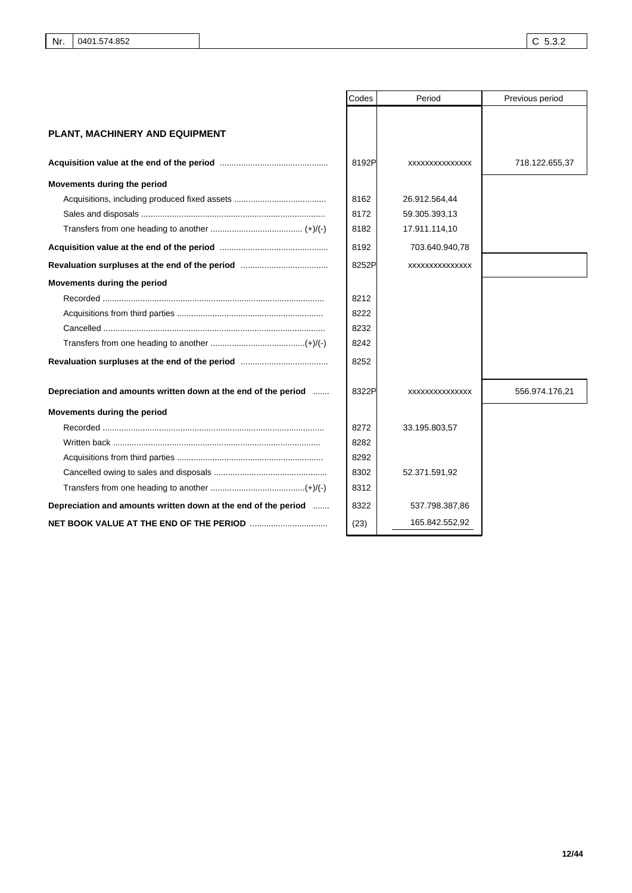|                                                                | Codes | Period          | Previous period |
|----------------------------------------------------------------|-------|-----------------|-----------------|
|                                                                |       |                 |                 |
| <b>PLANT, MACHINERY AND EQUIPMENT</b>                          |       |                 |                 |
|                                                                |       |                 |                 |
|                                                                | 8192P | XXXXXXXXXXXXXXX | 718.122.655,37  |
| Movements during the period                                    |       |                 |                 |
|                                                                | 8162  | 26.912.564,44   |                 |
|                                                                | 8172  | 59.305.393,13   |                 |
|                                                                | 8182  | 17.911.114,10   |                 |
|                                                                | 8192  | 703.640.940,78  |                 |
|                                                                | 8252P | XXXXXXXXXXXXXX  |                 |
| Movements during the period                                    |       |                 |                 |
|                                                                | 8212  |                 |                 |
|                                                                | 8222  |                 |                 |
|                                                                | 8232  |                 |                 |
|                                                                | 8242  |                 |                 |
|                                                                | 8252  |                 |                 |
| Depreciation and amounts written down at the end of the period | 8322P | XXXXXXXXXXXXXX  | 556.974.176,21  |
|                                                                |       |                 |                 |
| Movements during the period                                    |       |                 |                 |
|                                                                | 8272  | 33.195.803,57   |                 |
|                                                                | 8282  |                 |                 |
|                                                                | 8292  |                 |                 |
|                                                                | 8302  | 52.371.591,92   |                 |
|                                                                | 8312  |                 |                 |
| Depreciation and amounts written down at the end of the period | 8322  | 537.798.387,86  |                 |
|                                                                | (23)  | 165.842.552,92  |                 |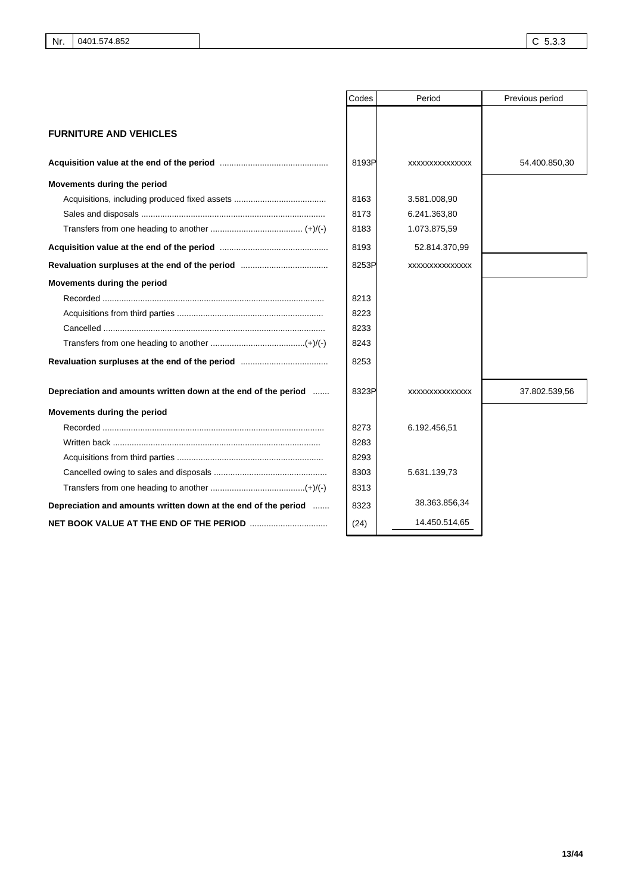|                                                                | Codes | Period         | Previous period |
|----------------------------------------------------------------|-------|----------------|-----------------|
|                                                                |       |                |                 |
| <b>FURNITURE AND VEHICLES</b>                                  |       |                |                 |
|                                                                |       |                |                 |
|                                                                | 8193P | XXXXXXXXXXXXXX | 54.400.850,30   |
| Movements during the period                                    |       |                |                 |
|                                                                | 8163  | 3.581.008,90   |                 |
|                                                                | 8173  | 6.241.363,80   |                 |
|                                                                | 8183  | 1.073.875,59   |                 |
|                                                                | 8193  | 52.814.370,99  |                 |
|                                                                | 8253P | XXXXXXXXXXXXXX |                 |
| Movements during the period                                    |       |                |                 |
|                                                                | 8213  |                |                 |
|                                                                | 8223  |                |                 |
|                                                                | 8233  |                |                 |
|                                                                | 8243  |                |                 |
|                                                                | 8253  |                |                 |
| Depreciation and amounts written down at the end of the period | 8323P | XXXXXXXXXXXXXX | 37.802.539,56   |
| Movements during the period                                    |       |                |                 |
|                                                                | 8273  | 6.192.456,51   |                 |
|                                                                | 8283  |                |                 |
|                                                                | 8293  |                |                 |
|                                                                | 8303  | 5.631.139,73   |                 |
|                                                                | 8313  |                |                 |
| Depreciation and amounts written down at the end of the period | 8323  | 38.363.856,34  |                 |
|                                                                | (24)  | 14.450.514,65  |                 |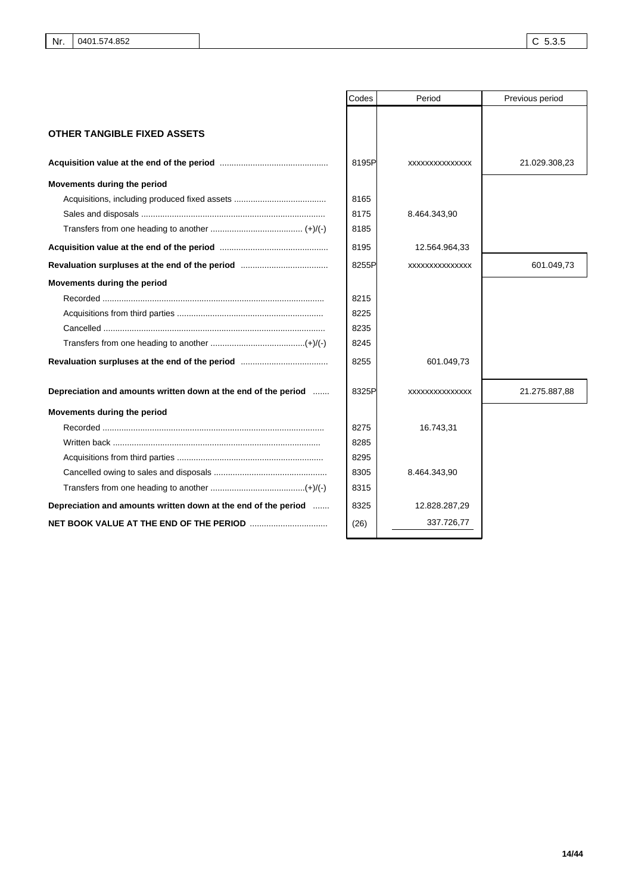|                                                                | Codes | Period         | Previous period |
|----------------------------------------------------------------|-------|----------------|-----------------|
|                                                                |       |                |                 |
| <b>OTHER TANGIBLE FIXED ASSETS</b>                             |       |                |                 |
|                                                                | 8195P | XXXXXXXXXXXXXX | 21.029.308,23   |
| Movements during the period                                    |       |                |                 |
|                                                                | 8165  |                |                 |
|                                                                | 8175  | 8.464.343,90   |                 |
|                                                                | 8185  |                |                 |
|                                                                | 8195  | 12.564.964,33  |                 |
|                                                                | 8255P | XXXXXXXXXXXXXX | 601.049,73      |
| Movements during the period                                    |       |                |                 |
|                                                                | 8215  |                |                 |
|                                                                | 8225  |                |                 |
|                                                                | 8235  |                |                 |
|                                                                | 8245  |                |                 |
|                                                                | 8255  | 601.049,73     |                 |
| Depreciation and amounts written down at the end of the period | 8325P | XXXXXXXXXXXXXX | 21.275.887,88   |
| Movements during the period                                    |       |                |                 |
|                                                                | 8275  | 16.743,31      |                 |
|                                                                | 8285  |                |                 |
|                                                                | 8295  |                |                 |
|                                                                | 8305  | 8.464.343,90   |                 |
|                                                                | 8315  |                |                 |
| Depreciation and amounts written down at the end of the period | 8325  | 12.828.287,29  |                 |
|                                                                | (26)  | 337.726,77     |                 |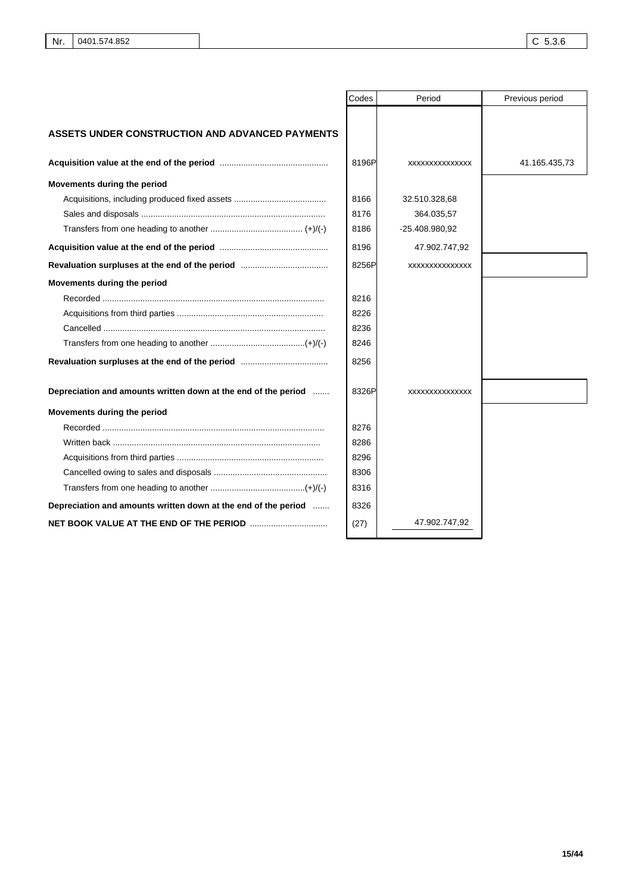|                                                                | Codes | Period         | Previous period |
|----------------------------------------------------------------|-------|----------------|-----------------|
|                                                                |       |                |                 |
| <b>ASSETS UNDER CONSTRUCTION AND ADVANCED PAYMENTS</b>         |       |                |                 |
|                                                                | 8196P | XXXXXXXXXXXXXX | 41.165.435,73   |
| Movements during the period                                    |       |                |                 |
|                                                                | 8166  | 32.510.328,68  |                 |
|                                                                | 8176  | 364.035,57     |                 |
|                                                                | 8186  | -25.408.980,92 |                 |
|                                                                | 8196  | 47.902.747,92  |                 |
|                                                                | 8256P | XXXXXXXXXXXXXX |                 |
| Movements during the period                                    |       |                |                 |
|                                                                | 8216  |                |                 |
|                                                                | 8226  |                |                 |
|                                                                | 8236  |                |                 |
|                                                                | 8246  |                |                 |
|                                                                | 8256  |                |                 |
| Depreciation and amounts written down at the end of the period | 8326P | XXXXXXXXXXXXXX |                 |
| Movements during the period                                    |       |                |                 |
|                                                                | 8276  |                |                 |
|                                                                | 8286  |                |                 |
|                                                                | 8296  |                |                 |
|                                                                | 8306  |                |                 |
|                                                                | 8316  |                |                 |
| Depreciation and amounts written down at the end of the period | 8326  |                |                 |
|                                                                | (27)  | 47.902.747,92  |                 |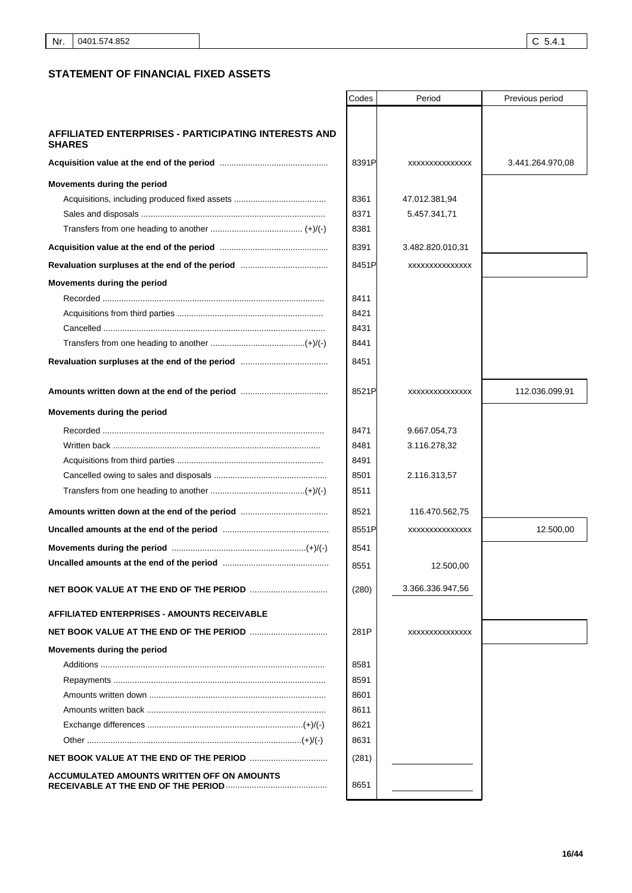### **STATEMENT OF FINANCIAL FIXED ASSETS**

|                                                                       | Codes | Period           | Previous period  |
|-----------------------------------------------------------------------|-------|------------------|------------------|
|                                                                       |       |                  |                  |
| AFFILIATED ENTERPRISES - PARTICIPATING INTERESTS AND<br><b>SHARES</b> |       |                  |                  |
|                                                                       | 8391P | XXXXXXXXXXXXXX   | 3.441.264.970,08 |
| Movements during the period                                           |       |                  |                  |
|                                                                       | 8361  | 47.012.381,94    |                  |
|                                                                       | 8371  | 5.457.341,71     |                  |
|                                                                       | 8381  |                  |                  |
|                                                                       | 8391  | 3.482.820.010,31 |                  |
|                                                                       | 8451P | XXXXXXXXXXXXXX   |                  |
| Movements during the period                                           |       |                  |                  |
|                                                                       | 8411  |                  |                  |
|                                                                       | 8421  |                  |                  |
|                                                                       | 8431  |                  |                  |
|                                                                       | 8441  |                  |                  |
|                                                                       | 8451  |                  |                  |
|                                                                       | 8521P | XXXXXXXXXXXXXX   | 112.036.099,91   |
| Movements during the period                                           |       |                  |                  |
|                                                                       | 8471  | 9.667.054,73     |                  |
|                                                                       | 8481  | 3.116.278,32     |                  |
|                                                                       | 8491  |                  |                  |
|                                                                       | 8501  | 2.116.313,57     |                  |
|                                                                       | 8511  |                  |                  |
|                                                                       | 8521  | 116.470.562,75   |                  |
|                                                                       | 8551P | XXXXXXXXXXXXXX   | 12.500,00        |
|                                                                       | 8541  |                  |                  |
|                                                                       | 8551  | 12.500,00        |                  |
|                                                                       | (280) | 3.366.336.947,56 |                  |
| <b>AFFILIATED ENTERPRISES - AMOUNTS RECEIVABLE</b>                    |       |                  |                  |
|                                                                       | 281P  | XXXXXXXXXXXXXX   |                  |
| Movements during the period                                           |       |                  |                  |
|                                                                       | 8581  |                  |                  |
|                                                                       | 8591  |                  |                  |
|                                                                       | 8601  |                  |                  |
|                                                                       | 8611  |                  |                  |
|                                                                       | 8621  |                  |                  |
|                                                                       | 8631  |                  |                  |
|                                                                       | (281) |                  |                  |
| ACCUMULATED AMOUNTS WRITTEN OFF ON AMOUNTS                            | 8651  |                  |                  |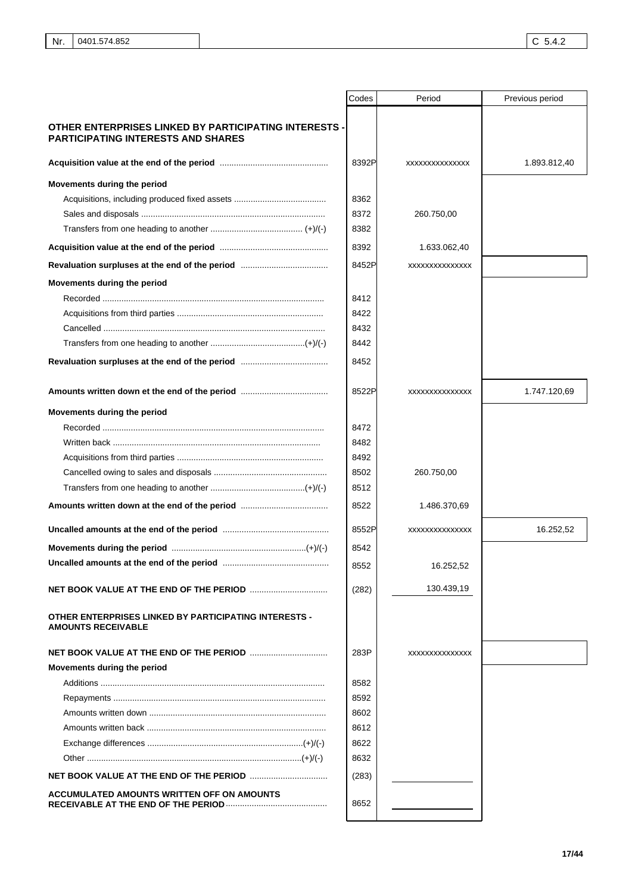|                                                                                                           | Codes | Period         | Previous period |
|-----------------------------------------------------------------------------------------------------------|-------|----------------|-----------------|
| <b>OTHER ENTERPRISES LINKED BY PARTICIPATING INTERESTS -</b><br><b>PARTICIPATING INTERESTS AND SHARES</b> |       |                |                 |
|                                                                                                           | 8392P | XXXXXXXXXXXXXX | 1.893.812,40    |
| Movements during the period                                                                               |       |                |                 |
|                                                                                                           | 8362  |                |                 |
|                                                                                                           | 8372  | 260.750,00     |                 |
|                                                                                                           | 8382  |                |                 |
|                                                                                                           | 8392  | 1.633.062,40   |                 |
|                                                                                                           | 8452P | XXXXXXXXXXXXXX |                 |
| Movements during the period                                                                               |       |                |                 |
|                                                                                                           | 8412  |                |                 |
|                                                                                                           | 8422  |                |                 |
|                                                                                                           | 8432  |                |                 |
|                                                                                                           | 8442  |                |                 |
|                                                                                                           | 8452  |                |                 |
|                                                                                                           | 8522P | XXXXXXXXXXXXXX | 1.747.120,69    |
| Movements during the period                                                                               |       |                |                 |
|                                                                                                           | 8472  |                |                 |
|                                                                                                           | 8482  |                |                 |
|                                                                                                           | 8492  |                |                 |
|                                                                                                           | 8502  | 260.750,00     |                 |
|                                                                                                           | 8512  |                |                 |
|                                                                                                           | 8522  | 1.486.370,69   |                 |
|                                                                                                           | 8552P | XXXXXXXXXXXXXX | 16.252,52       |
|                                                                                                           | 8542  |                |                 |
|                                                                                                           | 8552  | 16.252,52      |                 |
|                                                                                                           | (282) | 130.439,19     |                 |
| <b>OTHER ENTERPRISES LINKED BY PARTICIPATING INTERESTS -</b><br><b>AMOUNTS RECEIVABLE</b>                 |       |                |                 |
|                                                                                                           | 283P  | XXXXXXXXXXXXXX |                 |
| Movements during the period                                                                               |       |                |                 |
|                                                                                                           | 8582  |                |                 |
|                                                                                                           | 8592  |                |                 |
|                                                                                                           | 8602  |                |                 |
|                                                                                                           | 8612  |                |                 |
|                                                                                                           | 8622  |                |                 |
|                                                                                                           | 8632  |                |                 |
|                                                                                                           | (283) |                |                 |
| ACCUMULATED AMOUNTS WRITTEN OFF ON AMOUNTS                                                                | 8652  |                |                 |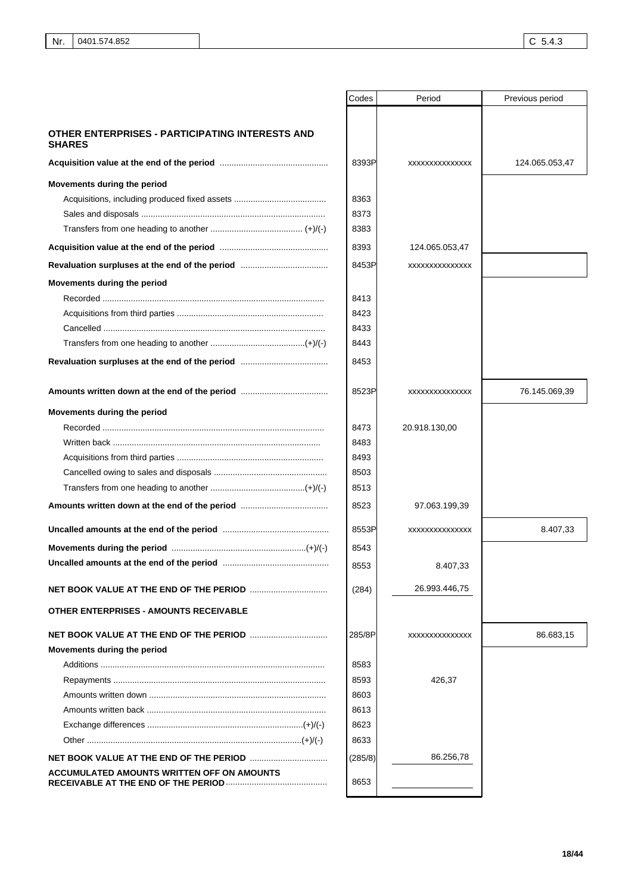|                                                                  | Codes   | Period         | Previous period |
|------------------------------------------------------------------|---------|----------------|-----------------|
|                                                                  |         |                |                 |
| OTHER ENTERPRISES - PARTICIPATING INTERESTS AND<br><b>SHARES</b> |         |                |                 |
|                                                                  | 8393P   | XXXXXXXXXXXXXX | 124.065.053,47  |
| Movements during the period                                      |         |                |                 |
|                                                                  | 8363    |                |                 |
|                                                                  | 8373    |                |                 |
|                                                                  | 8383    |                |                 |
|                                                                  | 8393    | 124.065.053,47 |                 |
|                                                                  | 8453P   | XXXXXXXXXXXXXX |                 |
| Movements during the period                                      |         |                |                 |
|                                                                  | 8413    |                |                 |
|                                                                  | 8423    |                |                 |
|                                                                  | 8433    |                |                 |
|                                                                  | 8443    |                |                 |
|                                                                  | 8453    |                |                 |
|                                                                  | 8523P   | XXXXXXXXXXXXXX | 76.145.069,39   |
| Movements during the period                                      |         |                |                 |
|                                                                  | 8473    | 20.918.130,00  |                 |
|                                                                  | 8483    |                |                 |
|                                                                  | 8493    |                |                 |
|                                                                  | 8503    |                |                 |
|                                                                  | 8513    |                |                 |
|                                                                  | 8523    | 97.063.199,39  |                 |
|                                                                  | 8553P   | XXXXXXXXXXXXXX | 8.407,33        |
|                                                                  | 8543    |                |                 |
|                                                                  | 8553    | 8.407,33       |                 |
|                                                                  | (284)   | 26.993.446,75  |                 |
| <b>OTHER ENTERPRISES - AMOUNTS RECEIVABLE</b>                    |         |                |                 |
|                                                                  | 285/8P  | XXXXXXXXXXXXXX | 86.683,15       |
| Movements during the period                                      |         |                |                 |
|                                                                  | 8583    |                |                 |
|                                                                  | 8593    | 426,37         |                 |
|                                                                  | 8603    |                |                 |
|                                                                  | 8613    |                |                 |
|                                                                  | 8623    |                |                 |
|                                                                  | 8633    |                |                 |
|                                                                  | (285/8) | 86.256,78      |                 |
| ACCUMULATED AMOUNTS WRITTEN OFF ON AMOUNTS                       | 8653    |                |                 |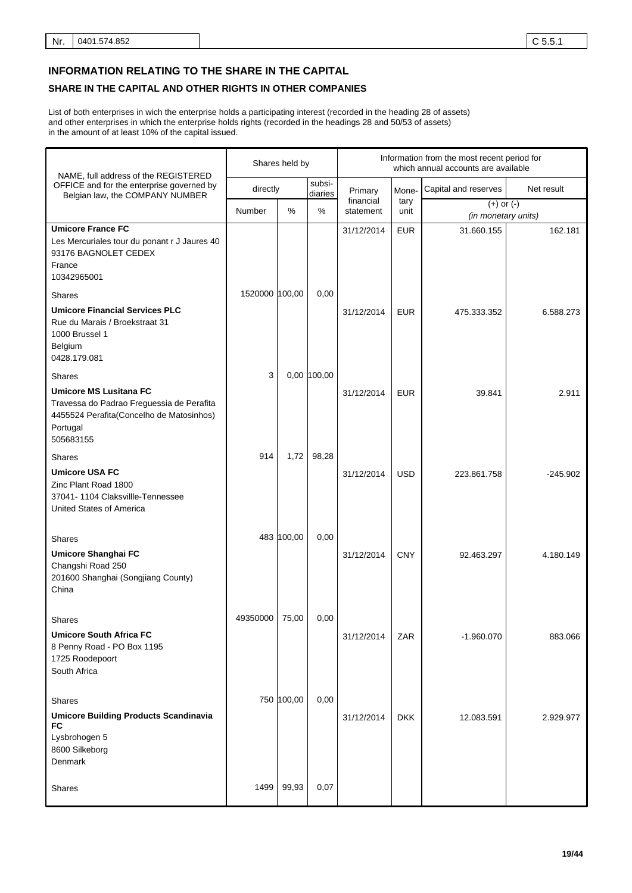### **INFORMATION RELATING TO THE SHARE IN THE CAPITAL**

### **SHARE IN THE CAPITAL AND OTHER RIGHTS IN OTHER COMPANIES**

List of both enterprises in wich the enterprise holds a participating interest (recorded in the heading 28 of assets) and other enterprises in which the enterprise holds rights (recorded in the headings 28 and 50/53 of assets) in the amount of at least 10% of the capital issued.

| NAME, full address of the REGISTERED                                                                                                            |                | Shares held by |                   |                        | Information from the most recent period for<br>which annual accounts are available |                                       |            |  |
|-------------------------------------------------------------------------------------------------------------------------------------------------|----------------|----------------|-------------------|------------------------|------------------------------------------------------------------------------------|---------------------------------------|------------|--|
| OFFICE and for the enterprise governed by<br>Belgian law, the COMPANY NUMBER                                                                    | directly       |                | subsi-<br>diaries | Primary                | Mone-                                                                              | Capital and reserves                  | Net result |  |
|                                                                                                                                                 | Number         | %              | %                 | financial<br>statement | tary<br>unit                                                                       | $(+)$ or $(-)$<br>(in monetary units) |            |  |
| <b>Umicore France FC</b><br>Les Mercuriales tour du ponant r J Jaures 40<br>93176 BAGNOLET CEDEX<br>France<br>10342965001                       |                |                |                   | 31/12/2014             | <b>EUR</b>                                                                         | 31.660.155                            | 162.181    |  |
| <b>Shares</b>                                                                                                                                   | 1520000 100,00 |                | 0,00              |                        |                                                                                    |                                       |            |  |
| <b>Umicore Financial Services PLC</b><br>Rue du Marais / Broekstraat 31<br>1000 Brussel 1<br>Belgium<br>0428.179.081                            |                |                |                   | 31/12/2014             | <b>EUR</b>                                                                         | 475.333.352                           | 6.588.273  |  |
| <b>Shares</b>                                                                                                                                   | 3              |                | 0,00 100,00       |                        |                                                                                    |                                       |            |  |
| <b>Umicore MS Lusitana FC</b><br>Travessa do Padrao Freguessia de Perafita<br>4455524 Perafita(Concelho de Matosinhos)<br>Portugal<br>505683155 |                |                |                   | 31/12/2014             | <b>EUR</b>                                                                         | 39.841                                | 2.911      |  |
| Shares                                                                                                                                          | 914            | 1,72           | 98,28             |                        |                                                                                    |                                       |            |  |
| <b>Umicore USA FC</b><br>Zinc Plant Road 1800<br>37041-1104 Claksvillle-Tennessee<br>United States of America                                   |                |                |                   | 31/12/2014             | <b>USD</b>                                                                         | 223.861.758                           | $-245.902$ |  |
|                                                                                                                                                 |                | 483 100,00     | 0,00              |                        |                                                                                    |                                       |            |  |
| Shares<br><b>Umicore Shanghai FC</b><br>Changshi Road 250<br>201600 Shanghai (Songjiang County)<br>China                                        |                |                |                   | 31/12/2014             | <b>CNY</b>                                                                         | 92.463.297                            | 4.180.149  |  |
|                                                                                                                                                 | 49350000       | 75,00          | 0,00              |                        |                                                                                    |                                       |            |  |
| <b>Shares</b><br><b>Umicore South Africa FC</b><br>8 Penny Road - PO Box 1195<br>1725 Roodepoort<br>South Africa                                |                |                |                   | 31/12/2014             | ZAR                                                                                | $-1.960.070$                          | 883.066    |  |
|                                                                                                                                                 |                | 750 100,00     | 0,00              |                        |                                                                                    |                                       |            |  |
| Shares<br><b>Umicore Building Products Scandinavia</b><br>FC<br>Lysbrohogen 5<br>8600 Silkeborg<br>Denmark                                      |                |                |                   | 31/12/2014             | <b>DKK</b>                                                                         | 12.083.591                            | 2.929.977  |  |
| Shares                                                                                                                                          | 1499           | 99,93          | 0,07              |                        |                                                                                    |                                       |            |  |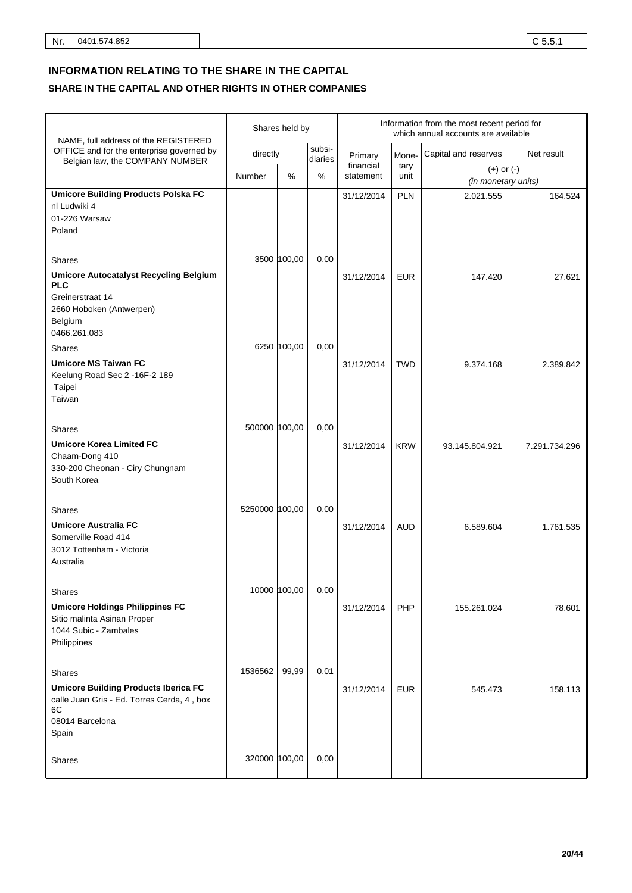# **INFORMATION RELATING TO THE SHARE IN THE CAPITAL**

| NAME, full address of the REGISTERED                                                                                                    |                | Shares held by |                   |                        | Information from the most recent period for<br>which annual accounts are available |                                       |               |  |
|-----------------------------------------------------------------------------------------------------------------------------------------|----------------|----------------|-------------------|------------------------|------------------------------------------------------------------------------------|---------------------------------------|---------------|--|
| OFFICE and for the enterprise governed by<br>Belgian law, the COMPANY NUMBER                                                            | directly       |                | subsi-<br>diaries | Primary                | Mone-                                                                              | Capital and reserves                  | Net result    |  |
|                                                                                                                                         | Number         | %              | %                 | financial<br>statement | tary<br>unit                                                                       | $(+)$ or $(-)$<br>(in monetary units) |               |  |
| <b>Umicore Building Products Polska FC</b><br>nl Ludwiki 4<br>01-226 Warsaw<br>Poland                                                   |                |                |                   | 31/12/2014             | <b>PLN</b>                                                                         | 2.021.555                             | 164.524       |  |
| <b>Shares</b><br><b>Umicore Autocatalyst Recycling Belgium</b><br><b>PLC</b><br>Greinerstraat 14<br>2660 Hoboken (Antwerpen)<br>Belgium |                | 3500 100,00    | 0,00              | 31/12/2014             | <b>EUR</b>                                                                         | 147.420                               | 27.621        |  |
| 0466.261.083<br><b>Shares</b><br><b>Umicore MS Taiwan FC</b><br>Keelung Road Sec 2 -16F-2 189<br>Taipei<br>Taiwan                       |                | 6250 100,00    | 0,00              | 31/12/2014             | <b>TWD</b>                                                                         | 9.374.168                             | 2.389.842     |  |
| <b>Shares</b><br><b>Umicore Korea Limited FC</b><br>Chaam-Dong 410<br>330-200 Cheonan - Ciry Chungnam<br>South Korea                    | 500000 100,00  |                | 0,00              | 31/12/2014             | <b>KRW</b>                                                                         | 93.145.804.921                        | 7.291.734.296 |  |
| Shares<br><b>Umicore Australia FC</b><br>Somerville Road 414<br>3012 Tottenham - Victoria<br>Australia                                  | 5250000 100,00 |                | 0,00              | 31/12/2014             | <b>AUD</b>                                                                         | 6.589.604                             | 1.761.535     |  |
| Shares<br><b>Umicore Holdings Philippines FC</b><br>Sitio malinta Asinan Proper<br>1044 Subic - Zambales<br>Philippines                 |                | 10000 100,00   | 0,00              | 31/12/2014             | PHP                                                                                | 155.261.024                           | 78.601        |  |
| Shares<br><b>Umicore Building Products Iberica FC</b><br>calle Juan Gris - Ed. Torres Cerda, 4, box<br>6C<br>08014 Barcelona<br>Spain   | 1536562        | 99,99          | 0,01              | 31/12/2014             | EUR                                                                                | 545.473                               | 158.113       |  |
| Shares                                                                                                                                  | 320000 100,00  |                | 0,00              |                        |                                                                                    |                                       |               |  |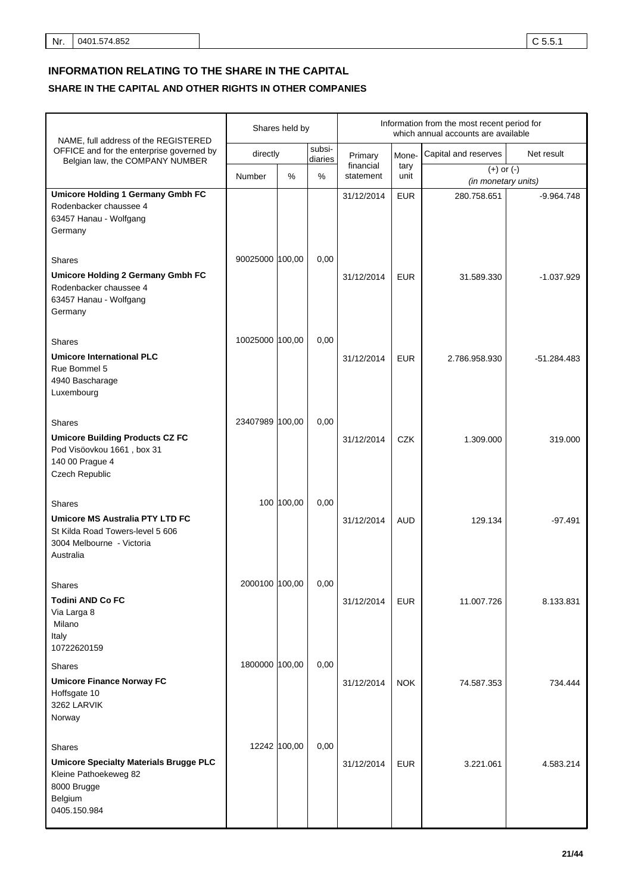| NAME, full address of the REGISTERED                                                                                                  |                 | Shares held by |                   | Information from the most recent period for<br>which annual accounts are available |              |                                       |               |
|---------------------------------------------------------------------------------------------------------------------------------------|-----------------|----------------|-------------------|------------------------------------------------------------------------------------|--------------|---------------------------------------|---------------|
| OFFICE and for the enterprise governed by<br>Belgian law, the COMPANY NUMBER                                                          | directly        |                | subsi-<br>diaries | Primary                                                                            | Mone-        | Capital and reserves                  | Net result    |
|                                                                                                                                       | Number          | $\%$           | %                 | financial<br>statement                                                             | tary<br>unit | $(+)$ or $(-)$<br>(in monetary units) |               |
| <b>Umicore Holding 1 Germany Gmbh FC</b><br>Rodenbacker chaussee 4<br>63457 Hanau - Wolfgang<br>Germany                               |                 |                |                   | 31/12/2014                                                                         | <b>EUR</b>   | 280.758.651                           | $-9.964.748$  |
| <b>Shares</b><br><b>Umicore Holding 2 Germany Gmbh FC</b><br>Rodenbacker chaussee 4<br>63457 Hanau - Wolfgang<br>Germany              | 90025000 100,00 |                | 0,00              | 31/12/2014                                                                         | <b>EUR</b>   | 31.589.330                            | $-1.037.929$  |
| <b>Shares</b><br><b>Umicore International PLC</b><br>Rue Bommel 5<br>4940 Bascharage<br>Luxembourg                                    | 10025000 100,00 |                | 0,00              | 31/12/2014                                                                         | <b>EUR</b>   | 2.786.958.930                         | $-51.284.483$ |
| <b>Shares</b><br><b>Umicore Building Products CZ FC</b><br>Pod Visöovkou 1661, box 31<br>140 00 Prague 4<br>Czech Republic            | 23407989 100,00 |                | 0,00              | 31/12/2014                                                                         | <b>CZK</b>   | 1.309.000                             | 319.000       |
| <b>Shares</b><br><b>Umicore MS Australia PTY LTD FC</b><br>St Kilda Road Towers-level 5 606<br>3004 Melbourne - Victoria<br>Australia |                 | 100 100,00     | 0,00              | 31/12/2014                                                                         | <b>AUD</b>   | 129.134                               | $-97.491$     |
| <b>Shares</b><br><b>Todini AND Co FC</b><br>Via Larga 8<br>Milano<br>Italy<br>10722620159                                             | 2000100 100,00  |                | 0,00              | 31/12/2014                                                                         | <b>EUR</b>   | 11.007.726                            | 8.133.831     |
| <b>Shares</b><br><b>Umicore Finance Norway FC</b><br>Hoffsgate 10<br>3262 LARVIK<br>Norway                                            | 1800000 100,00  |                | 0,00              | 31/12/2014                                                                         | <b>NOK</b>   | 74.587.353                            | 734.444       |
| <b>Shares</b><br><b>Umicore Specialty Materials Brugge PLC</b><br>Kleine Pathoekeweg 82<br>8000 Brugge<br>Belgium<br>0405.150.984     | 12242 100,00    |                | 0,00              | 31/12/2014                                                                         | <b>EUR</b>   | 3.221.061                             | 4.583.214     |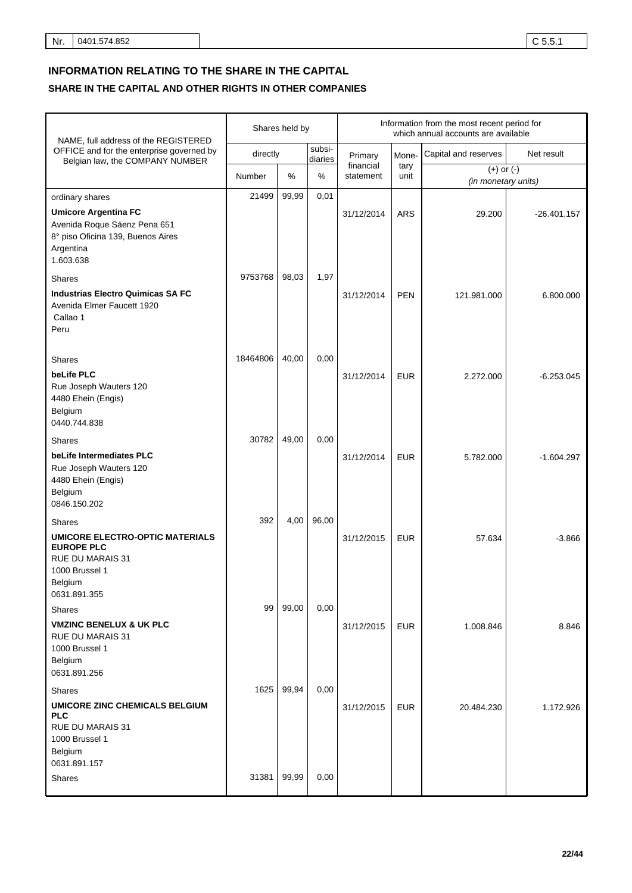| NAME, full address of the REGISTERED                                                                                                        |          | Shares held by |                   | Information from the most recent period for<br>which annual accounts are available |              |                                       |               |
|---------------------------------------------------------------------------------------------------------------------------------------------|----------|----------------|-------------------|------------------------------------------------------------------------------------|--------------|---------------------------------------|---------------|
| OFFICE and for the enterprise governed by<br>Belgian law, the COMPANY NUMBER                                                                | directly |                | subsi-<br>diaries | Primary                                                                            | Mone-        | Capital and reserves                  | Net result    |
|                                                                                                                                             | Number   | %              | %                 | financial<br>statement                                                             | tary<br>unit | $(+)$ or $(-)$<br>(in monetary units) |               |
| ordinary shares<br><b>Umicore Argentina FC</b><br>Avenida Roque Sáenz Pena 651<br>8° piso Oficina 139, Buenos Aires<br>Argentina            | 21499    | 99,99          | 0,01              | 31/12/2014                                                                         | <b>ARS</b>   | 29.200                                | $-26.401.157$ |
| 1.603.638<br><b>Shares</b><br><b>Industrias Electro Quimicas SA FC</b>                                                                      | 9753768  | 98,03          | 1,97              |                                                                                    |              |                                       |               |
| Avenida Elmer Faucett 1920<br>Callao 1<br>Peru                                                                                              |          |                |                   | 31/12/2014                                                                         | <b>PEN</b>   | 121.981.000                           | 6.800.000     |
| <b>Shares</b><br>beLife PLC<br>Rue Joseph Wauters 120<br>4480 Ehein (Engis)<br>Belgium<br>0440.744.838                                      | 18464806 | 40,00          | 0,00              | 31/12/2014                                                                         | <b>EUR</b>   | 2.272.000                             | $-6.253.045$  |
| <b>Shares</b><br>beLife Intermediates PLC<br>Rue Joseph Wauters 120<br>4480 Ehein (Engis)<br>Belgium<br>0846.150.202                        | 30782    | 49,00          | 0,00              | 31/12/2014                                                                         | <b>EUR</b>   | 5.782.000                             | $-1.604.297$  |
| <b>Shares</b><br><b>UMICORE ELECTRO-OPTIC MATERIALS</b><br><b>EUROPE PLC</b><br><b>RUE DU MARAIS 31</b><br>1000 Brussel 1<br>Belgium        | 392      | 4,00           | 96,00             | 31/12/2015                                                                         | <b>EUR</b>   | 57.634                                | $-3.866$      |
| 0631.891.355<br><b>Shares</b><br><b>VMZINC BENELUX &amp; UK PLC</b><br><b>RUE DU MARAIS 31</b><br>1000 Brussel 1<br>Belgium<br>0631.891.256 | 99       | 99,00          | 0,00              | 31/12/2015                                                                         | <b>EUR</b>   | 1.008.846                             | 8.846         |
| Shares<br>UMICORE ZINC CHEMICALS BELGIUM<br><b>PLC</b><br><b>RUE DU MARAIS 31</b><br>1000 Brussel 1<br>Belgium<br>0631.891.157              | 1625     | 99,94          | 0,00              | 31/12/2015                                                                         | <b>EUR</b>   | 20.484.230                            | 1.172.926     |
| <b>Shares</b>                                                                                                                               | 31381    | 99,99          | 0,00              |                                                                                    |              |                                       |               |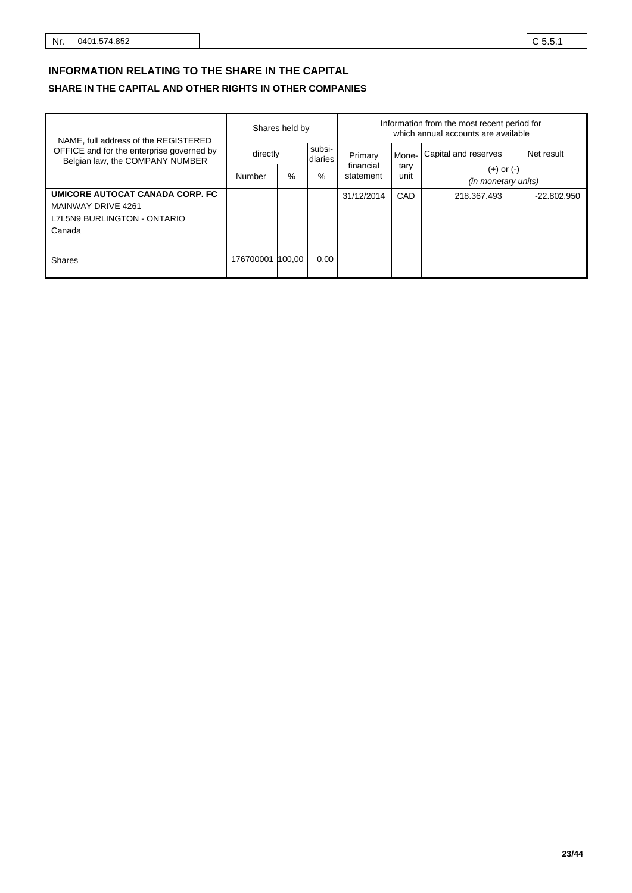### **INFORMATION RELATING TO THE SHARE IN THE CAPITAL**

| NAME, full address of the REGISTERED                                                           | Shares held by   |   | Information from the most recent period for<br>which annual accounts are available |            |       |                      |               |              |                                          |  |
|------------------------------------------------------------------------------------------------|------------------|---|------------------------------------------------------------------------------------|------------|-------|----------------------|---------------|--------------|------------------------------------------|--|
| OFFICE and for the enterprise governed by<br>Belgian law, the COMPANY NUMBER                   | directly         |   | subsi-<br>diaries                                                                  | Primary    | Mone- | Capital and reserves | Net result    |              |                                          |  |
|                                                                                                | Number           | % | %                                                                                  | statement  |       |                      | financial     | tary<br>unit | (+) or (-)<br><i>(in monetary units)</i> |  |
| UMICORE AUTOCAT CANADA CORP. FC<br>MAINWAY DRIVE 4261<br>L7L5N9 BURLINGTON - ONTARIO<br>Canada |                  |   |                                                                                    | 31/12/2014 | CAD   | 218.367.493          | $-22.802.950$ |              |                                          |  |
| Shares                                                                                         | 176700001 100.00 |   | 0,00                                                                               |            |       |                      |               |              |                                          |  |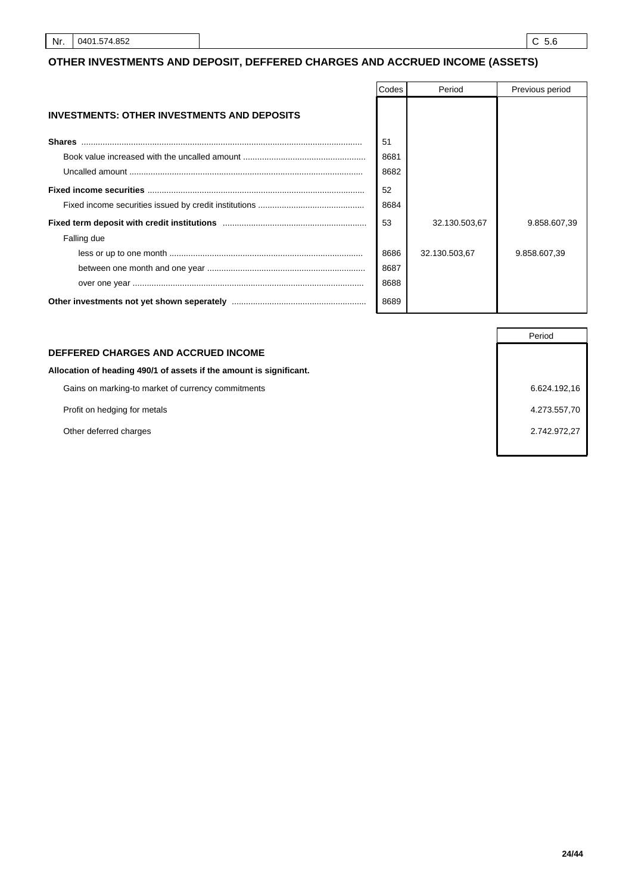### **OTHER INVESTMENTS AND DEPOSIT, DEFFERED CHARGES AND ACCRUED INCOME (ASSETS)**

|                                                    | Codes | Period        | Previous period |
|----------------------------------------------------|-------|---------------|-----------------|
| <b>INVESTMENTS: OTHER INVESTMENTS AND DEPOSITS</b> |       |               |                 |
| <b>Shares</b>                                      | 51    |               |                 |
|                                                    | 8681  |               |                 |
|                                                    | 8682  |               |                 |
|                                                    | 52    |               |                 |
|                                                    | 8684  |               |                 |
|                                                    | 53    | 32.130.503,67 | 9.858.607.39    |
| Falling due                                        |       |               |                 |
|                                                    | 8686  | 32.130.503,67 | 9.858.607,39    |
|                                                    | 8687  |               |                 |
|                                                    | 8688  |               |                 |
|                                                    | 8689  |               |                 |

#### **DEFFERED CHARGES AND ACCRUED INCOME**

#### **Allocation of heading 490/1 of assets if the amount is significant.**

Gains on marking-to market of currency commitments 6.624.192,16

Profit on hedging for metals **4.273.557,70** and the set of the set of the set of the set of the set of the set of the set of the set of the set of the set of the set of the set of the set of the set of the set of the set o

Other deferred charges 2.742.972,27

Period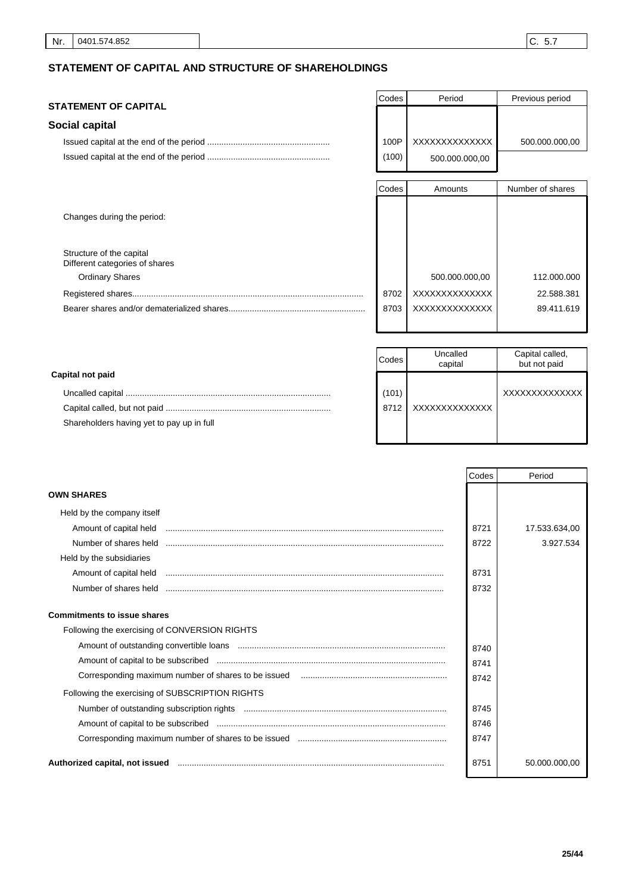### **STATEMENT OF CAPITAL AND STRUCTURE OF SHAREHOLDINGS**

#### **STATEMENT OF CAPITAL**

Changes during the period:

Structure of the capital Different categories of shares Ordinary Shares

#### **Social capital**

Registered shares.................................................................................................. Bearer shares and/or dematerialized shares.................................

| Codes | Period         | Previous period |
|-------|----------------|-----------------|
|       |                |                 |
|       |                |                 |
| 100P  | XXXXXXXXXXXXXX | 500.000.000,00  |
| (100) | 500.000.000,00 |                 |
|       |                |                 |

| Codes | Amounts        | Number of shares |
|-------|----------------|------------------|
|       |                |                  |
|       |                |                  |
|       |                |                  |
|       |                |                  |
|       |                |                  |
|       | 500.000.000,00 | 112.000.000      |
| 8702  | XXXXXXXXXXXXXX | 22.588.381       |
| 8703  | XXXXXXXXXXXXX  | 89.411.619       |
|       |                |                  |

|                                           | Codes | Uncalled<br>capital | Capital called,<br>but not paid |
|-------------------------------------------|-------|---------------------|---------------------------------|
| Capital not paid                          |       |                     |                                 |
|                                           | (101) |                     | XXXXXXXXXXXXXX                  |
|                                           | 8712  | XXXXXXXXXXXXXX      |                                 |
| Shareholders having yet to pay up in full |       |                     |                                 |
|                                           |       |                     |                                 |

|                                                 | Codes | Period        |
|-------------------------------------------------|-------|---------------|
| <b>OWN SHARES</b>                               |       |               |
| Held by the company itself                      |       |               |
|                                                 | 8721  | 17.533.634,00 |
| Number of shares held                           | 8722  | 3.927.534     |
| Held by the subsidiaries                        |       |               |
|                                                 | 8731  |               |
|                                                 | 8732  |               |
| <b>Commitments to issue shares</b>              |       |               |
| Following the exercising of CONVERSION RIGHTS   |       |               |
|                                                 | 8740  |               |
|                                                 | 8741  |               |
|                                                 | 8742  |               |
| Following the exercising of SUBSCRIPTION RIGHTS |       |               |
|                                                 | 8745  |               |
|                                                 | 8746  |               |
|                                                 | 8747  |               |
| Authorized capital, not issued                  | 8751  | 50.000.000.00 |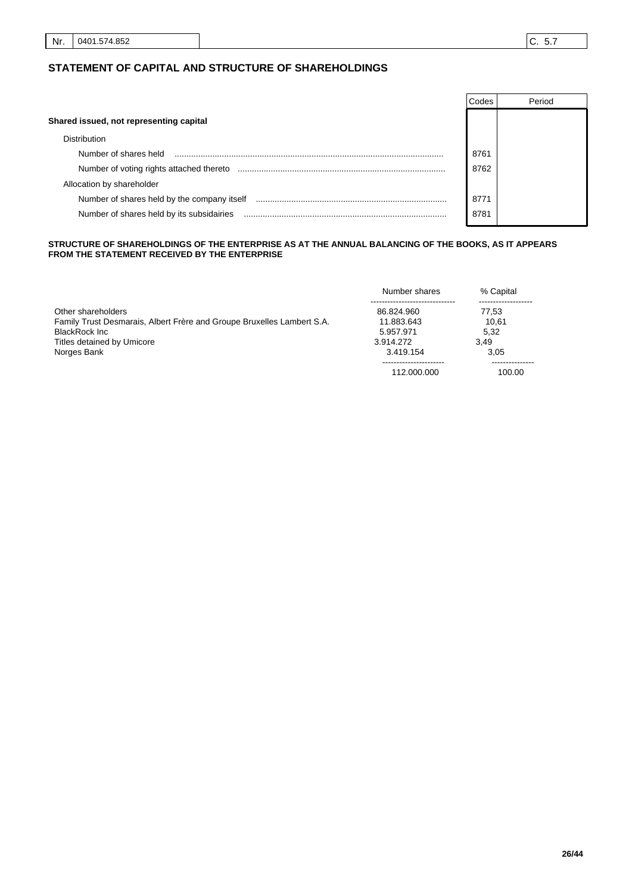#### **STATEMENT OF CAPITAL AND STRUCTURE OF SHAREHOLDINGS**

|                                             | Codes | Period |
|---------------------------------------------|-------|--------|
| Shared issued, not representing capital     |       |        |
| <b>Distribution</b>                         |       |        |
| Number of shares held                       | 8761  |        |
| Number of voting rights attached thereto    | 8762  |        |
| Allocation by shareholder                   |       |        |
| Number of shares held by the company itself | 8771  |        |
| Number of shares held by its subsidairies   | 8781  |        |

#### **STRUCTURE OF SHAREHOLDINGS OF THE ENTERPRISE AS AT THE ANNUAL BALANCING OF THE BOOKS, AS IT APPEARS FROM THE STATEMENT RECEIVED BY THE ENTERPRISE**

|                                                                        | Number shares | % Capital |
|------------------------------------------------------------------------|---------------|-----------|
|                                                                        |               |           |
| Other shareholders                                                     | 86.824.960    | 77.53     |
| Family Trust Desmarais, Albert Frère and Groupe Bruxelles Lambert S.A. | 11.883.643    | 10.61     |
| BlackRock Inc.                                                         | 5.957.971     | 5.32      |
| Titles detained by Umicore                                             | 3.914.272     | 3.49      |
| Norges Bank                                                            | 3.419.154     | 3.05      |
|                                                                        |               |           |
|                                                                        | 112.000.000   | 100.00    |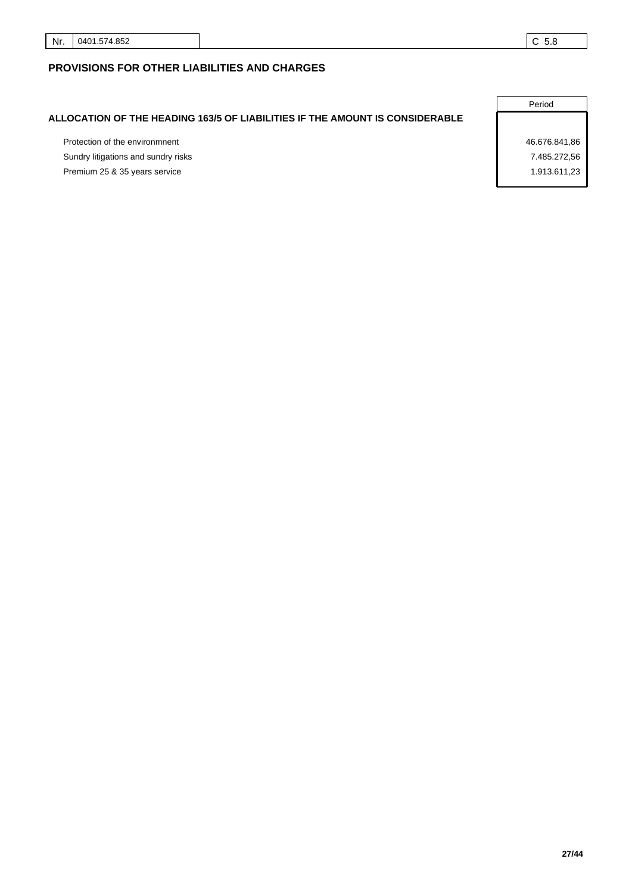### **PROVISIONS FOR OTHER LIABILITIES AND CHARGES**

### **ALLOCATION OF THE HEADING 163/5 OF LIABILITIES IF THE AMOUNT IS CONSIDERABLE**

Protection of the environmnent 46.676.841,86 Sundry litigations and sundry risks 7.485.272,56 Premium 25 & 35 years service 1.913.611,23

Period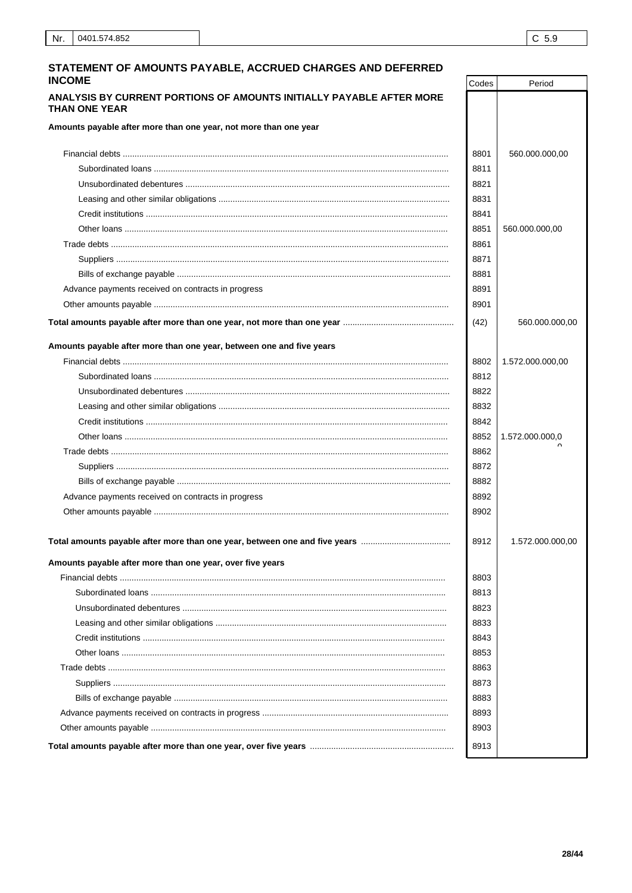Period

Codes

#### STATEMENT OF AMOUNTS PAYABLE, ACCRUED CHARGES AND DEFERRED **INCOME**

#### ANALYSIS BY CURRENT PORTIONS OF AMOUNTS INITIALLY PAYABLE AFTER MORE THAN ONE YEAR

Amounts payable after more than one year, not more than one year

| Amounts payable after more than one year, not more than one year     |      |                  |
|----------------------------------------------------------------------|------|------------------|
|                                                                      | 8801 | 560.000.000,00   |
|                                                                      | 8811 |                  |
|                                                                      | 8821 |                  |
|                                                                      | 8831 |                  |
|                                                                      | 8841 |                  |
|                                                                      | 8851 | 560.000.000,00   |
|                                                                      | 8861 |                  |
|                                                                      | 8871 |                  |
|                                                                      | 8881 |                  |
| Advance payments received on contracts in progress                   | 8891 |                  |
|                                                                      | 8901 |                  |
|                                                                      | (42) | 560.000.000,00   |
| Amounts payable after more than one year, between one and five years |      |                  |
|                                                                      | 8802 | 1.572.000.000,00 |
|                                                                      | 8812 |                  |
|                                                                      | 8822 |                  |
|                                                                      | 8832 |                  |
|                                                                      | 8842 |                  |
|                                                                      | 8852 | 1.572.000.000,0  |
|                                                                      | 8862 |                  |
|                                                                      | 8872 |                  |
|                                                                      | 8882 |                  |
| Advance payments received on contracts in progress                   | 8892 |                  |
|                                                                      | 8902 |                  |
|                                                                      | 8912 | 1.572.000.000,00 |
| Amounts payable after more than one year, over five years            |      |                  |
|                                                                      | 8803 |                  |
|                                                                      | 8813 |                  |
|                                                                      | 8823 |                  |
|                                                                      | 8833 |                  |
|                                                                      | 8843 |                  |
|                                                                      | 8853 |                  |
|                                                                      | 8863 |                  |
|                                                                      | 8873 |                  |
|                                                                      | 8883 |                  |
|                                                                      | 8893 |                  |
|                                                                      | 8903 |                  |
|                                                                      | 8913 |                  |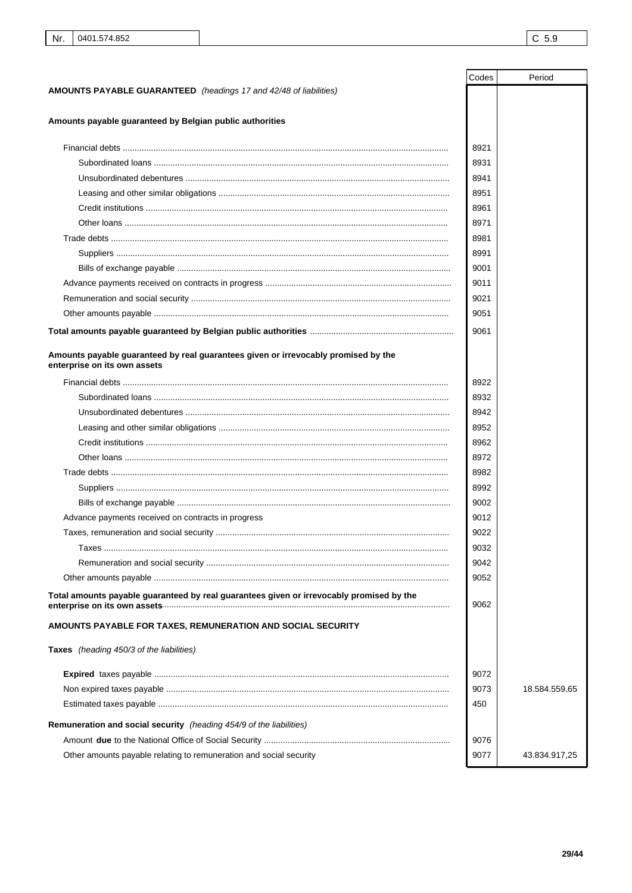|                                                                                                                    | Codes | Period        |
|--------------------------------------------------------------------------------------------------------------------|-------|---------------|
| <b>AMOUNTS PAYABLE GUARANTEED</b> (headings 17 and 42/48 of liabilities)                                           |       |               |
|                                                                                                                    |       |               |
| Amounts payable guaranteed by Belgian public authorities                                                           |       |               |
|                                                                                                                    | 8921  |               |
|                                                                                                                    | 8931  |               |
|                                                                                                                    | 8941  |               |
|                                                                                                                    | 8951  |               |
|                                                                                                                    | 8961  |               |
|                                                                                                                    | 8971  |               |
|                                                                                                                    | 8981  |               |
|                                                                                                                    | 8991  |               |
|                                                                                                                    | 9001  |               |
|                                                                                                                    | 9011  |               |
|                                                                                                                    | 9021  |               |
|                                                                                                                    | 9051  |               |
|                                                                                                                    |       |               |
|                                                                                                                    | 9061  |               |
| Amounts payable guaranteed by real guarantees given or irrevocably promised by the<br>enterprise on its own assets |       |               |
|                                                                                                                    | 8922  |               |
|                                                                                                                    | 8932  |               |
|                                                                                                                    | 8942  |               |
|                                                                                                                    | 8952  |               |
|                                                                                                                    | 8962  |               |
|                                                                                                                    | 8972  |               |
|                                                                                                                    | 8982  |               |
|                                                                                                                    | 8992  |               |
|                                                                                                                    | 9002  |               |
| Advance payments received on contracts in progress                                                                 | 9012  |               |
|                                                                                                                    | 9022  |               |
|                                                                                                                    | 9032  |               |
|                                                                                                                    | 9042  |               |
|                                                                                                                    | 9052  |               |
| Total amounts payable guaranteed by real guarantees given or irrevocably promised by the                           | 9062  |               |
| AMOUNTS PAYABLE FOR TAXES, REMUNERATION AND SOCIAL SECURITY                                                        |       |               |
| Taxes (heading 450/3 of the liabilities)                                                                           |       |               |
|                                                                                                                    | 9072  |               |
|                                                                                                                    | 9073  | 18.584.559,65 |
|                                                                                                                    | 450   |               |
| Remuneration and social security (heading 454/9 of the liabilities)                                                |       |               |
|                                                                                                                    | 9076  |               |
| Other amounts payable relating to remuneration and social security                                                 | 9077  | 43.834.917,25 |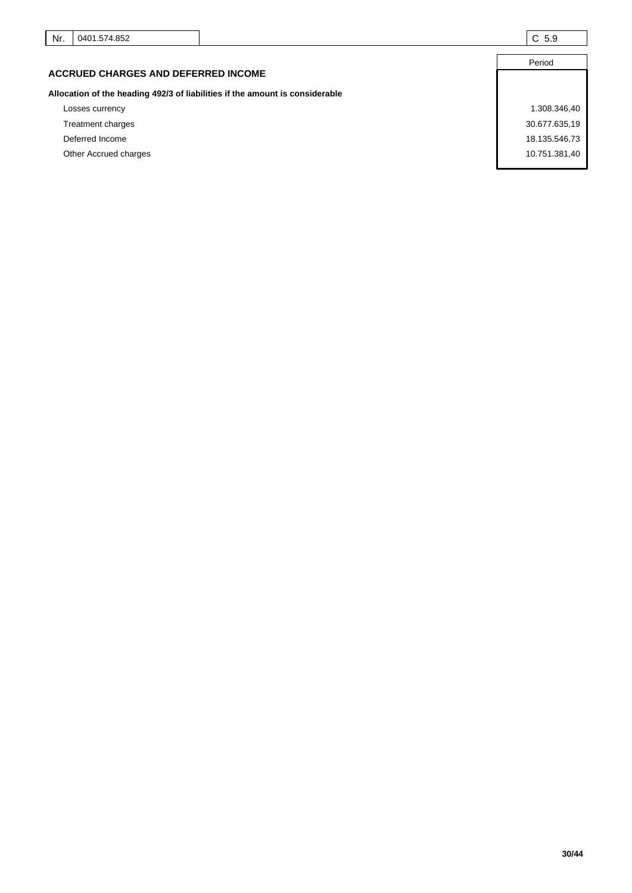|                                                                              | Period        |
|------------------------------------------------------------------------------|---------------|
| <b>ACCRUED CHARGES AND DEFERRED INCOME</b>                                   |               |
| Allocation of the heading 492/3 of liabilities if the amount is considerable |               |
| Losses currency                                                              | 1.308.346,40  |
| Treatment charges                                                            | 30.677.635,19 |
| Deferred Income                                                              | 18.135.546,73 |
| Other Accrued charges                                                        | 10.751.381,40 |
|                                                                              |               |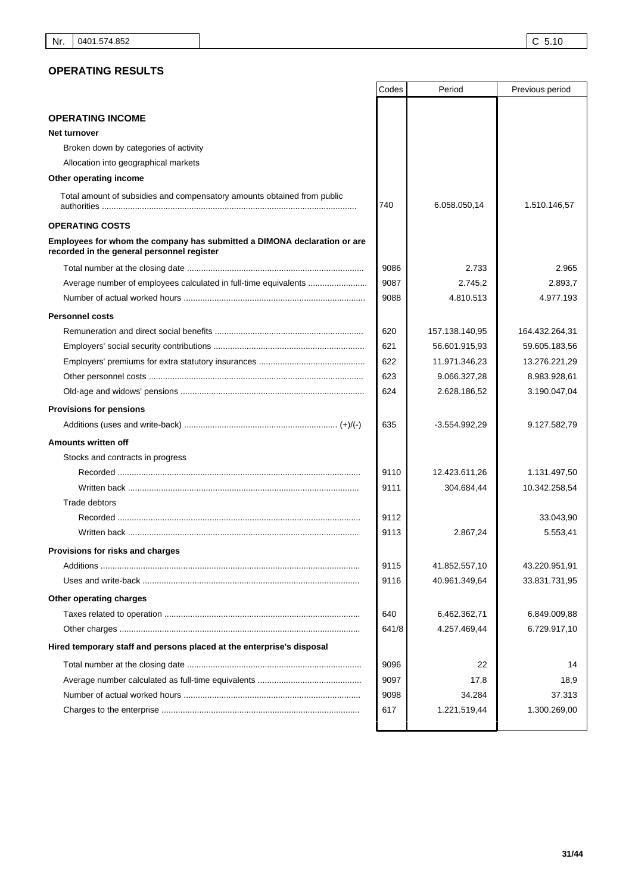### **OPERATING RESULTS**

|                                                                                                                        | Codes | Period                      | Previous period       |
|------------------------------------------------------------------------------------------------------------------------|-------|-----------------------------|-----------------------|
|                                                                                                                        |       |                             |                       |
| <b>OPERATING INCOME</b>                                                                                                |       |                             |                       |
| Net turnover                                                                                                           |       |                             |                       |
| Broken down by categories of activity                                                                                  |       |                             |                       |
| Allocation into geographical markets                                                                                   |       |                             |                       |
| Other operating income                                                                                                 |       |                             |                       |
| Total amount of subsidies and compensatory amounts obtained from public                                                | 740   | 6.058.050,14                | 1.510.146,57          |
| <b>OPERATING COSTS</b>                                                                                                 |       |                             |                       |
| Employees for whom the company has submitted a DIMONA declaration or are<br>recorded in the general personnel register |       |                             |                       |
|                                                                                                                        | 9086  | 2.733                       | 2.965                 |
| Average number of employees calculated in full-time equivalents                                                        | 9087  | 2.745,2                     | 2.893,7               |
|                                                                                                                        | 9088  | 4.810.513                   | 4.977.193             |
| <b>Personnel costs</b>                                                                                                 |       |                             |                       |
|                                                                                                                        | 620   | 157.138.140,95              | 164.432.264,31        |
|                                                                                                                        | 621   | 56.601.915,93               | 59.605.183,56         |
|                                                                                                                        | 622   | 11.971.346,23               | 13.276.221,29         |
|                                                                                                                        | 623   | 9.066.327,28                | 8.983.928,61          |
|                                                                                                                        | 624   | 2.628.186,52                | 3.190.047,04          |
| <b>Provisions for pensions</b>                                                                                         |       |                             |                       |
|                                                                                                                        | 635   | $-3.554.992,29$             | 9.127.582,79          |
| Amounts written off                                                                                                    |       |                             |                       |
| Stocks and contracts in progress                                                                                       |       |                             |                       |
|                                                                                                                        | 9110  |                             |                       |
|                                                                                                                        | 9111  | 12.423.611,26<br>304.684,44 | 1.131.497,50          |
| Trade debtors                                                                                                          |       |                             | 10.342.258,54         |
|                                                                                                                        | 9112  |                             |                       |
|                                                                                                                        | 9113  | 2.867,24                    | 33.043,90<br>5.553,41 |
|                                                                                                                        |       |                             |                       |
| Provisions for risks and charges                                                                                       |       |                             |                       |
|                                                                                                                        | 9115  | 41.852.557,10               | 43.220.951,91         |
|                                                                                                                        | 9116  | 40.961.349,64               | 33.831.731,95         |
| Other operating charges                                                                                                |       |                             |                       |
|                                                                                                                        | 640   | 6.462.362,71                | 6.849.009,88          |
|                                                                                                                        | 641/8 | 4.257.469,44                | 6.729.917,10          |
| Hired temporary staff and persons placed at the enterprise's disposal                                                  |       |                             |                       |
|                                                                                                                        | 9096  | 22                          | 14                    |
|                                                                                                                        | 9097  | 17,8                        | 18,9                  |
|                                                                                                                        | 9098  | 34.284                      | 37.313                |
|                                                                                                                        | 617   | 1.221.519,44                | 1.300.269,00          |
|                                                                                                                        |       |                             |                       |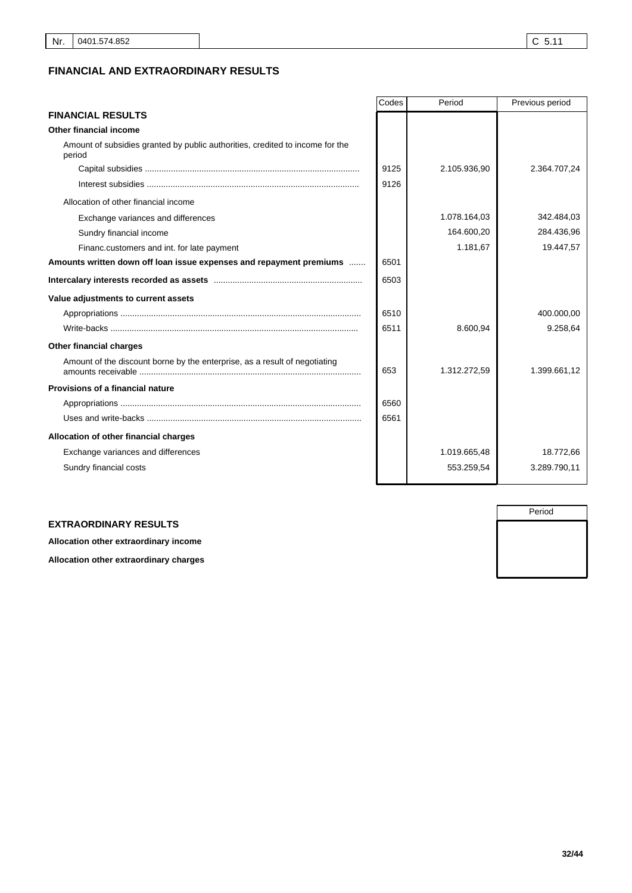### **FINANCIAL AND EXTRAORDINARY RESULTS**

|                                                                                         | Codes | Period       | Previous period |
|-----------------------------------------------------------------------------------------|-------|--------------|-----------------|
| <b>FINANCIAL RESULTS</b>                                                                |       |              |                 |
| Other financial income                                                                  |       |              |                 |
| Amount of subsidies granted by public authorities, credited to income for the<br>period |       |              |                 |
|                                                                                         | 9125  | 2.105.936,90 | 2.364.707,24    |
|                                                                                         | 9126  |              |                 |
| Allocation of other financial income                                                    |       |              |                 |
| Exchange variances and differences                                                      |       | 1.078.164,03 | 342.484,03      |
| Sundry financial income                                                                 |       | 164.600,20   | 284.436,96      |
| Financ.customers and int. for late payment                                              |       | 1.181,67     | 19.447,57       |
| Amounts written down off loan issue expenses and repayment premiums                     | 6501  |              |                 |
|                                                                                         | 6503  |              |                 |
| Value adjustments to current assets                                                     |       |              |                 |
|                                                                                         | 6510  |              | 400.000,00      |
|                                                                                         | 6511  | 8.600,94     | 9.258,64        |
| Other financial charges                                                                 |       |              |                 |
| Amount of the discount borne by the enterprise, as a result of negotiating              | 653   | 1.312.272,59 | 1.399.661,12    |
| Provisions of a financial nature                                                        |       |              |                 |
|                                                                                         | 6560  |              |                 |
|                                                                                         | 6561  |              |                 |
| Allocation of other financial charges                                                   |       |              |                 |
| Exchange variances and differences                                                      |       | 1.019.665,48 | 18.772,66       |
| Sundry financial costs                                                                  |       | 553.259,54   | 3.289.790,11    |

#### **EXTRAORDINARY RESULTS**

**Allocation other extraordinary income**

**Allocation other extraordinary charges**

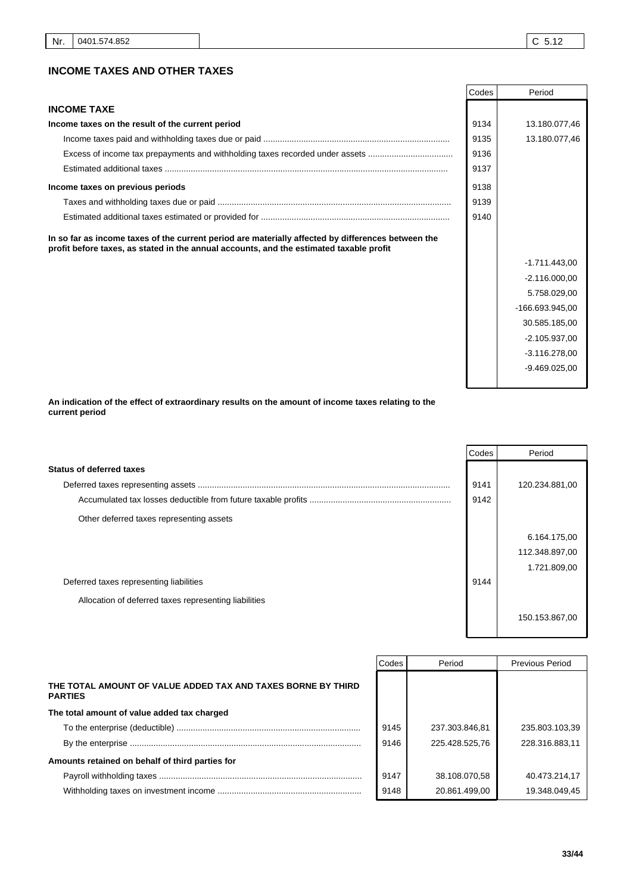|                                                                                                                                                                                               | Codes | Period          |
|-----------------------------------------------------------------------------------------------------------------------------------------------------------------------------------------------|-------|-----------------|
| <b>INCOME TAXE</b>                                                                                                                                                                            |       |                 |
| Income taxes on the result of the current period                                                                                                                                              | 9134  | 13.180.077,46   |
|                                                                                                                                                                                               | 9135  | 13.180.077,46   |
| Excess of income tax prepayments and withholding taxes recorded under assets                                                                                                                  | 9136  |                 |
|                                                                                                                                                                                               | 9137  |                 |
| Income taxes on previous periods                                                                                                                                                              | 9138  |                 |
|                                                                                                                                                                                               | 9139  |                 |
|                                                                                                                                                                                               | 9140  |                 |
| In so far as income taxes of the current period are materially affected by differences between the<br>profit before taxes, as stated in the annual accounts, and the estimated taxable profit |       |                 |
|                                                                                                                                                                                               |       | $-1.711.443,00$ |
|                                                                                                                                                                                               |       | $-2.116.000.00$ |
|                                                                                                                                                                                               |       | 5.758.029,00    |
|                                                                                                                                                                                               |       | -166.693.945,00 |
|                                                                                                                                                                                               |       | 30.585.185,00   |
|                                                                                                                                                                                               |       | $-2.105.937.00$ |
|                                                                                                                                                                                               |       | $-3.116.278,00$ |
|                                                                                                                                                                                               |       | $-9.469.025.00$ |

**An indication of the effect of extraordinary results on the amount of income taxes relating to the current period**

|                                                       | Codes | Period         |
|-------------------------------------------------------|-------|----------------|
| Status of deferred taxes                              |       |                |
|                                                       | 9141  | 120.234.881,00 |
|                                                       | 9142  |                |
| Other deferred taxes representing assets              |       |                |
|                                                       |       | 6.164.175,00   |
|                                                       |       | 112.348.897,00 |
|                                                       |       | 1.721.809,00   |
| Deferred taxes representing liabilities               | 9144  |                |
| Allocation of deferred taxes representing liabilities |       |                |
|                                                       |       | 150.153.867,00 |

|                                                                                | Codes | Period         | <b>Previous Period</b> |
|--------------------------------------------------------------------------------|-------|----------------|------------------------|
| THE TOTAL AMOUNT OF VALUE ADDED TAX AND TAXES BORNE BY THIRD<br><b>PARTIES</b> |       |                |                        |
| The total amount of value added tax charged                                    |       |                |                        |
|                                                                                | 9145  | 237.303.846.81 | 235.803.103.39         |
|                                                                                | 9146  | 225.428.525.76 | 228.316.883.11         |
| Amounts retained on behalf of third parties for                                |       |                |                        |
|                                                                                | 9147  | 38.108.070.58  | 40.473.214.17          |
|                                                                                | 9148  | 20.861.499.00  | 19.348.049.45          |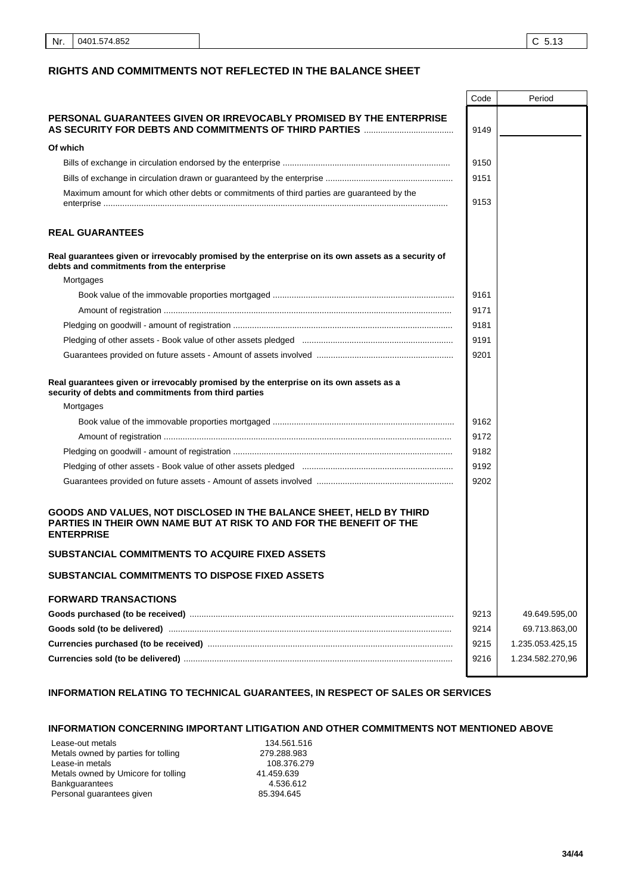#### **RIGHTS AND COMMITMENTS NOT REFLECTED IN THE BALANCE SHEET**

|                                                                                                                                                                 | Code | Period           |
|-----------------------------------------------------------------------------------------------------------------------------------------------------------------|------|------------------|
| PERSONAL GUARANTEES GIVEN OR IRREVOCABLY PROMISED BY THE ENTERPRISE                                                                                             | 9149 |                  |
| Of which                                                                                                                                                        |      |                  |
|                                                                                                                                                                 | 9150 |                  |
|                                                                                                                                                                 | 9151 |                  |
| Maximum amount for which other debts or commitments of third parties are guaranteed by the                                                                      | 9153 |                  |
| <b>REAL GUARANTEES</b>                                                                                                                                          |      |                  |
| Real guarantees given or irrevocably promised by the enterprise on its own assets as a security of<br>debts and commitments from the enterprise                 |      |                  |
| Mortgages                                                                                                                                                       |      |                  |
|                                                                                                                                                                 | 9161 |                  |
|                                                                                                                                                                 | 9171 |                  |
|                                                                                                                                                                 | 9181 |                  |
|                                                                                                                                                                 | 9191 |                  |
|                                                                                                                                                                 | 9201 |                  |
| Real guarantees given or irrevocably promised by the enterprise on its own assets as a<br>security of debts and commitments from third parties                  |      |                  |
| Mortgages                                                                                                                                                       |      |                  |
|                                                                                                                                                                 | 9162 |                  |
|                                                                                                                                                                 | 9172 |                  |
|                                                                                                                                                                 | 9182 |                  |
|                                                                                                                                                                 | 9192 |                  |
|                                                                                                                                                                 | 9202 |                  |
| GOODS AND VALUES, NOT DISCLOSED IN THE BALANCE SHEET, HELD BY THIRD<br>PARTIES IN THEIR OWN NAME BUT AT RISK TO AND FOR THE BENEFIT OF THE<br><b>ENTERPRISE</b> |      |                  |
| SUBSTANCIAL COMMITMENTS TO ACQUIRE FIXED ASSETS                                                                                                                 |      |                  |
| SUBSTANCIAL COMMITMENTS TO DISPOSE FIXED ASSETS                                                                                                                 |      |                  |
| <b>FORWARD TRANSACTIONS</b>                                                                                                                                     |      |                  |
|                                                                                                                                                                 | 9213 | 49.649.595,00    |
|                                                                                                                                                                 | 9214 | 69.713.863,00    |
|                                                                                                                                                                 | 9215 | 1.235.053.425,15 |
|                                                                                                                                                                 | 9216 | 1.234.582.270,96 |
|                                                                                                                                                                 |      |                  |

### **INFORMATION RELATING TO TECHNICAL GUARANTEES, IN RESPECT OF SALES OR SERVICES**

#### **INFORMATION CONCERNING IMPORTANT LITIGATION AND OTHER COMMITMENTS NOT MENTIONED ABOVE**

Lease-out metals<br>
Metals owned by parties for tolling<br>
279.288.983 Metals owned by parties for tolling 279.288.983<br>Lease-in metals 108.376.279 Lease-in metals 108.376.<br>Metals owned by Umicore for tolling 108.376.99 Metals owned by Umicore for tolling  $41.459.639$ <br>Bankguarantees  $4.536.612$ Bankguarantees<br>
Personal guarantees given<br>
25.394.645 Personal guarantees given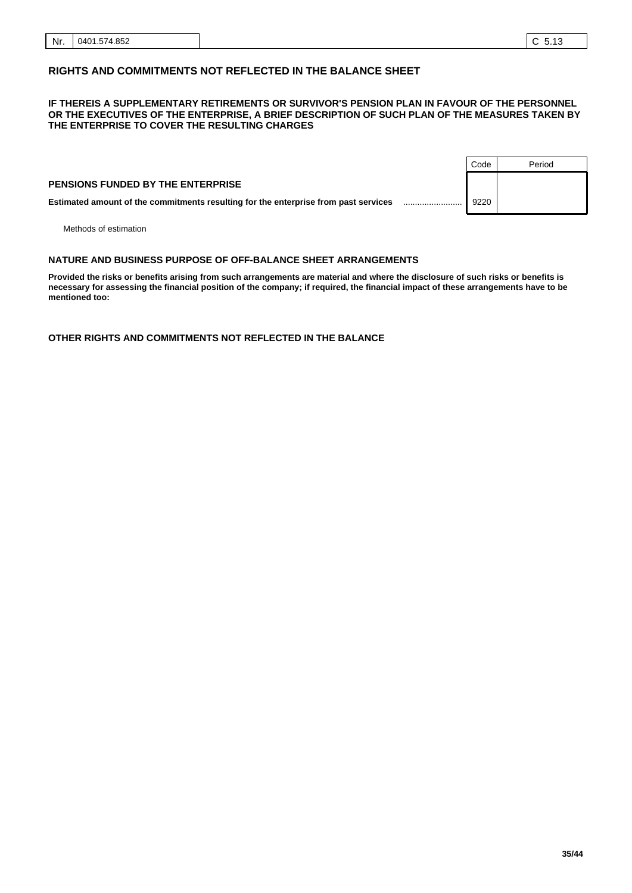### **RIGHTS AND COMMITMENTS NOT REFLECTED IN THE BALANCE SHEET**

#### **IF THEREIS A SUPPLEMENTARY RETIREMENTS OR SURVIVOR'S PENSION PLAN IN FAVOUR OF THE PERSONNEL OR THE EXECUTIVES OF THE ENTERPRISE, A BRIEF DESCRIPTION OF SUCH PLAN OF THE MEASURES TAKEN BY THE ENTERPRISE TO COVER THE RESULTING CHARGES**

|                                                                                     | Code | Period |
|-------------------------------------------------------------------------------------|------|--------|
| <b>PENSIONS FUNDED BY THE ENTERPRISE</b>                                            |      |        |
| Estimated amount of the commitments resulting for the enterprise from past services | 9220 |        |
|                                                                                     |      |        |

Methods of estimation

#### ......................... .. **NATURE AND BUSINESS PURPOSE OF OFF-BALANCE SHEET ARRANGEMENTS**

**Provided the risks or benefits arising from such arrangements are material and where the disclosure of such risks or benefits is necessary for assessing the financial position of the company; if required, the financial impact of these arrangements have to be mentioned too:**

**OTHER RIGHTS AND COMMITMENTS NOT REFLECTED IN THE BALANCE**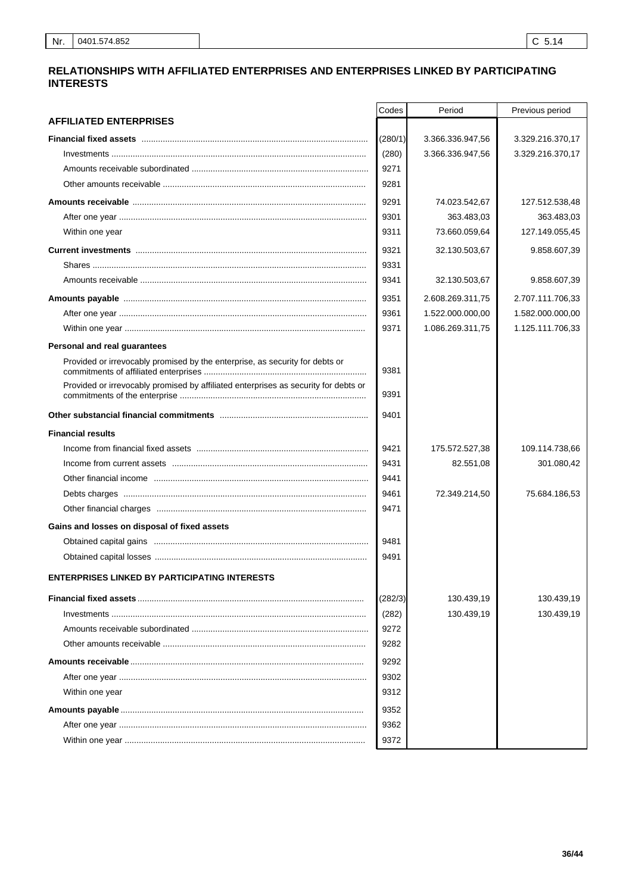### RELATIONSHIPS WITH AFFILIATED ENTERPRISES AND ENTERPRISES LINKED BY PARTICIPATING **INTERESTS**

|                                                                                     | Codes   | Period           | Previous period  |
|-------------------------------------------------------------------------------------|---------|------------------|------------------|
| <b>AFFILIATED ENTERPRISES</b>                                                       |         |                  |                  |
|                                                                                     | (280/1) | 3.366.336.947,56 | 3.329.216.370,17 |
|                                                                                     | (280)   | 3.366.336.947,56 | 3.329.216.370,17 |
|                                                                                     | 9271    |                  |                  |
|                                                                                     | 9281    |                  |                  |
|                                                                                     | 9291    | 74.023.542,67    | 127.512.538,48   |
|                                                                                     | 9301    | 363.483,03       | 363.483,03       |
| Within one year                                                                     | 9311    | 73.660.059,64    | 127.149.055,45   |
|                                                                                     | 9321    | 32.130.503,67    | 9.858.607,39     |
|                                                                                     | 9331    |                  |                  |
|                                                                                     | 9341    | 32.130.503,67    | 9.858.607,39     |
|                                                                                     | 9351    | 2.608.269.311,75 | 2.707.111.706,33 |
|                                                                                     | 9361    | 1.522.000.000,00 | 1.582.000.000,00 |
|                                                                                     | 9371    | 1.086.269.311,75 | 1.125.111.706,33 |
| Personal and real guarantees                                                        |         |                  |                  |
| Provided or irrevocably promised by the enterprise, as security for debts or        | 9381    |                  |                  |
| Provided or irrevocably promised by affiliated enterprises as security for debts or | 9391    |                  |                  |
|                                                                                     | 9401    |                  |                  |
| <b>Financial results</b>                                                            |         |                  |                  |
|                                                                                     | 9421    | 175.572.527,38   | 109.114.738,66   |
|                                                                                     | 9431    | 82.551,08        | 301.080,42       |
|                                                                                     | 9441    |                  |                  |
|                                                                                     | 9461    | 72.349.214,50    | 75.684.186,53    |
|                                                                                     | 9471    |                  |                  |
| Gains and losses on disposal of fixed assets                                        |         |                  |                  |
|                                                                                     | 9481    |                  |                  |
|                                                                                     | 9491    |                  |                  |
| <b>ENTERPRISES LINKED BY PARTICIPATING INTERESTS</b>                                |         |                  |                  |
|                                                                                     | (282/3) | 130.439,19       | 130.439,19       |
|                                                                                     | (282)   | 130.439,19       | 130.439,19       |
|                                                                                     | 9272    |                  |                  |
|                                                                                     | 9282    |                  |                  |
|                                                                                     | 9292    |                  |                  |
|                                                                                     | 9302    |                  |                  |
| Within one year                                                                     | 9312    |                  |                  |
|                                                                                     | 9352    |                  |                  |
|                                                                                     | 9362    |                  |                  |
|                                                                                     | 9372    |                  |                  |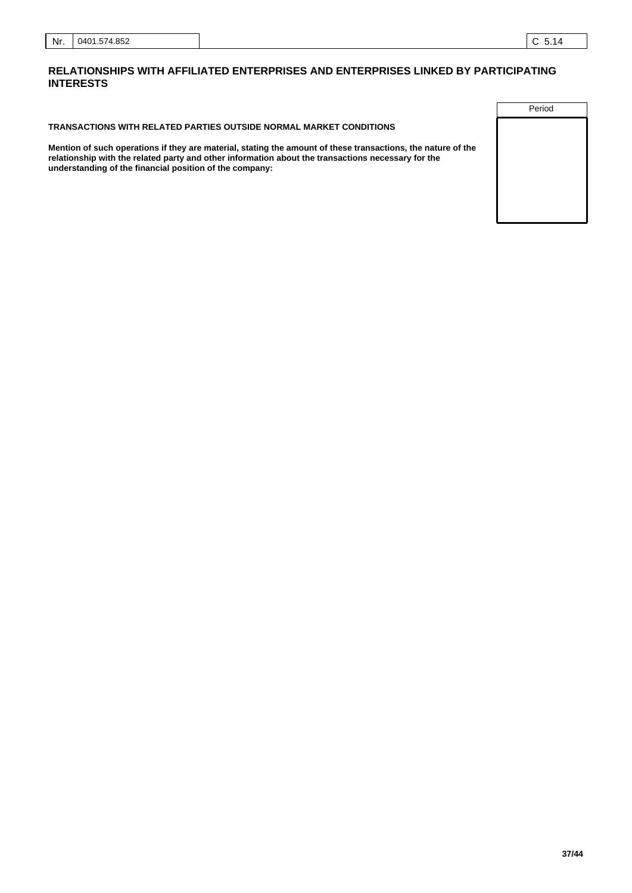#### **RELATIONSHIPS WITH AFFILIATED ENTERPRISES AND ENTERPRISES LINKED BY PARTICIPATING INTERESTS**

**TRANSACTIONS WITH RELATED PARTIES OUTSIDE NORMAL MARKET CONDITIONS**

**Mention of such operations if they are material, stating the amount of these transactions, the nature of the relationship with the related party and other information about the transactions necessary for the understanding of the financial position of the company:**

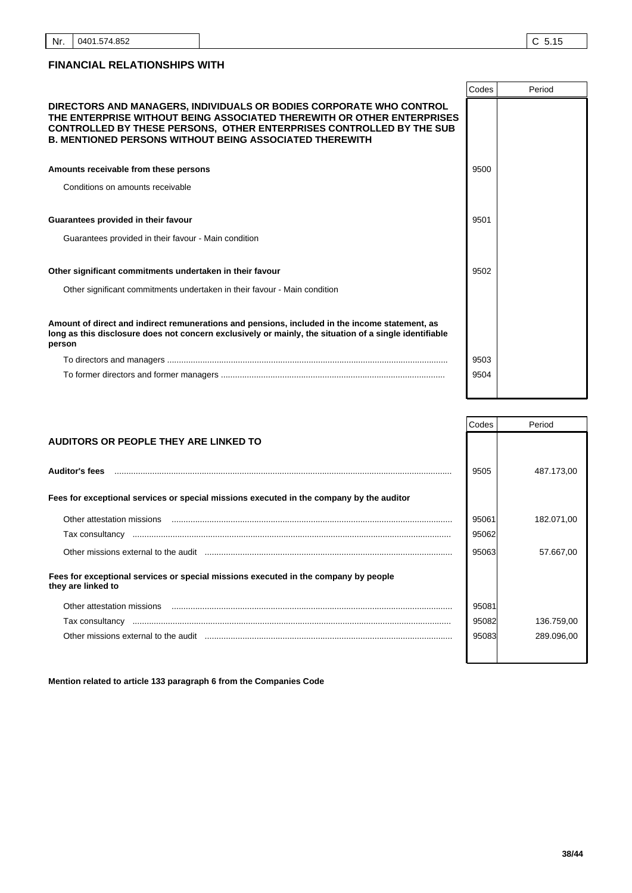|                                                                                                                                                                                                                                                                                                | Codes | Period |
|------------------------------------------------------------------------------------------------------------------------------------------------------------------------------------------------------------------------------------------------------------------------------------------------|-------|--------|
| DIRECTORS AND MANAGERS, INDIVIDUALS OR BODIES CORPORATE WHO CONTROL<br>THE ENTERPRISE WITHOUT BEING ASSOCIATED THEREWITH OR OTHER ENTERPRISES<br><b>CONTROLLED BY THESE PERSONS, OTHER ENTERPRISES CONTROLLED BY THE SUB</b><br><b>B. MENTIONED PERSONS WITHOUT BEING ASSOCIATED THEREWITH</b> |       |        |
| Amounts receivable from these persons                                                                                                                                                                                                                                                          | 9500  |        |
| Conditions on amounts receivable                                                                                                                                                                                                                                                               |       |        |
|                                                                                                                                                                                                                                                                                                |       |        |
| Guarantees provided in their favour                                                                                                                                                                                                                                                            | 9501  |        |
| Guarantees provided in their favour - Main condition                                                                                                                                                                                                                                           |       |        |
| Other significant commitments undertaken in their favour                                                                                                                                                                                                                                       | 9502  |        |
| Other significant commitments undertaken in their favour - Main condition                                                                                                                                                                                                                      |       |        |
| Amount of direct and indirect remunerations and pensions, included in the income statement, as<br>long as this disclosure does not concern exclusively or mainly, the situation of a single identifiable<br>person                                                                             |       |        |
|                                                                                                                                                                                                                                                                                                | 9503  |        |
|                                                                                                                                                                                                                                                                                                | 9504  |        |
|                                                                                                                                                                                                                                                                                                |       |        |

|                                                                                                           | Codes | Period     |
|-----------------------------------------------------------------------------------------------------------|-------|------------|
| AUDITORS OR PEOPLE THEY ARE LINKED TO                                                                     |       |            |
|                                                                                                           |       |            |
| <b>Auditor's fees</b>                                                                                     | 9505  | 487.173,00 |
| Fees for exceptional services or special missions executed in the company by the auditor                  |       |            |
| Other attestation missions                                                                                | 95061 | 182.071,00 |
|                                                                                                           | 95062 |            |
|                                                                                                           | 95063 | 57.667,00  |
| Fees for exceptional services or special missions executed in the company by people<br>they are linked to |       |            |
| Other attestation missions                                                                                | 95081 |            |
|                                                                                                           | 95082 | 136.759,00 |
|                                                                                                           | 95083 | 289.096,00 |
|                                                                                                           |       |            |

**Mention related to article 133 paragraph 6 from the Companies Code**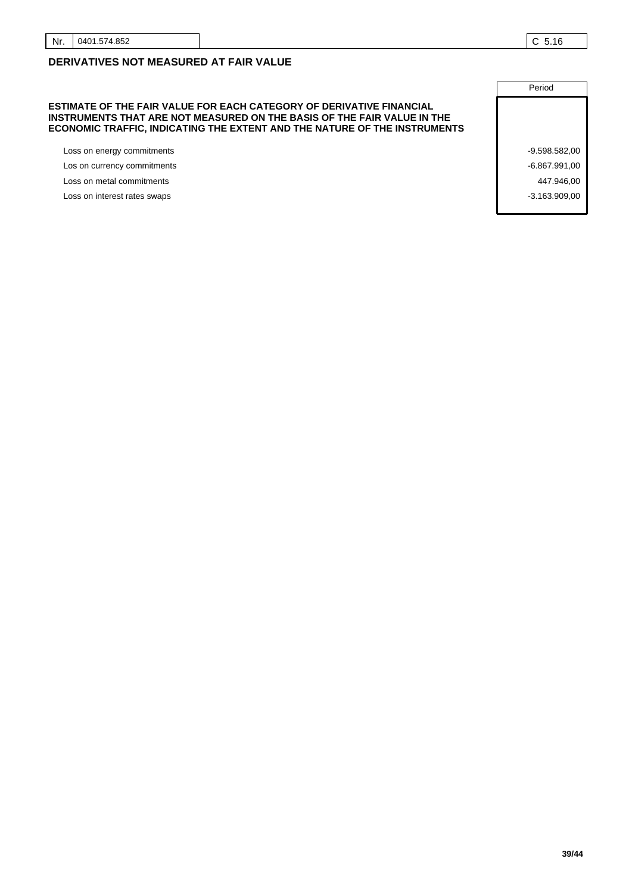### **DERIVATIVES NOT MEASURED AT FAIR VALUE**

#### **ESTIMATE OF THE FAIR VALUE FOR EACH CATEGORY OF DERIVATIVE FINANCIAL INSTRUMENTS THAT ARE NOT MEASURED ON THE BASIS OF THE FAIR VALUE IN THE ECONOMIC TRAFFIC, INDICATING THE EXTENT AND THE NATURE OF THE INSTRUMENTS**

Loss on energy commitments and the commitments of the commitments of the commitments of the commitments of the commitments of the commitments of the commitments of the commitments of the commitments of the commitments of t

Los on currency commitments  $\sim$  -6.867.991,00

Loss on metal commitments **447.946,00 All and Security 10.000 <b>All and Security 10.000 All and Security 10.000 <b>All and Security 10.000 All and Security 10.000 All and Security 10.000 All and Security 10.000** 

Loss on interest rates swaps  $\sim$  3.163.909,00

**Period**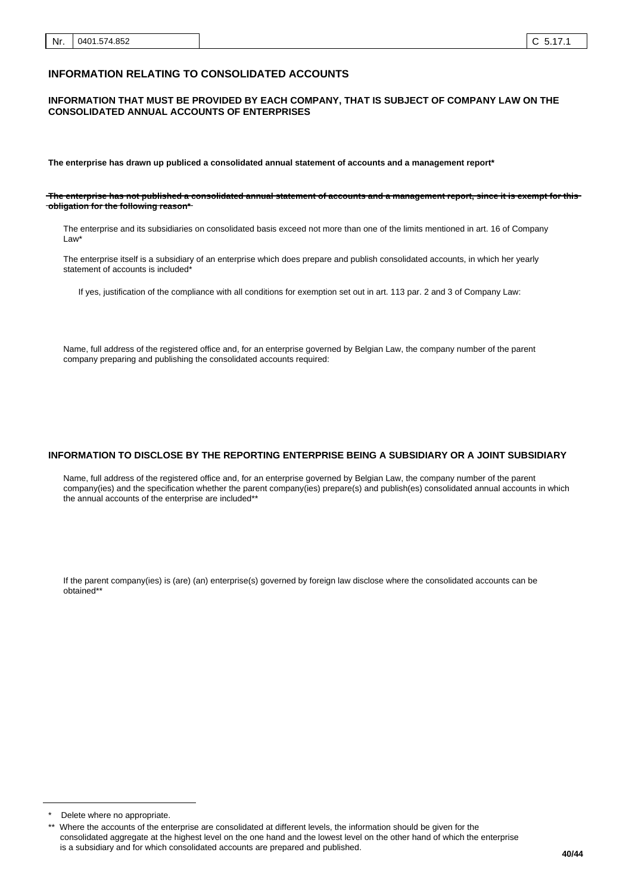#### **INFORMATION RELATING TO CONSOLIDATED ACCOUNTS**

#### **INFORMATION THAT MUST BE PROVIDED BY EACH COMPANY, THAT IS SUBJECT OF COMPANY LAW ON THE CONSOLIDATED ANNUAL ACCOUNTS OF ENTERPRISES**

**The enterprise has drawn up publiced a consolidated annual statement of accounts and a management report\***

**The enterprise has not published a consolidated annual statement of accounts and a management report, since it is exempt for this obligation for the following reason\***

The enterprise and its subsidiaries on consolidated basis exceed not more than one of the limits mentioned in art. 16 of Company Law\*

The enterprise itself is a subsidiary of an enterprise which does prepare and publish consolidated accounts, in which her yearly statement of accounts is included\*

If yes, justification of the compliance with all conditions for exemption set out in art. 113 par. 2 and 3 of Company Law:

Name, full address of the registered office and, for an enterprise governed by Belgian Law, the company number of the parent company preparing and publishing the consolidated accounts required:

#### **INFORMATION TO DISCLOSE BY THE REPORTING ENTERPRISE BEING A SUBSIDIARY OR A JOINT SUBSIDIARY**

Name, full address of the registered office and, for an enterprise governed by Belgian Law, the company number of the parent company(ies) and the specification whether the parent company(ies) prepare(s) and publish(es) consolidated annual accounts in which the annual accounts of the enterprise are included\*\*

If the parent company(ies) is (are) (an) enterprise(s) governed by foreign law disclose where the consolidated accounts can be obtained\*\*

Delete where no appropriate.

Where the accounts of the enterprise are consolidated at different levels, the information should be given for the consolidated aggregate at the highest level on the one hand and the lowest level on the other hand of which the enterprise is a subsidiary and for which consolidated accounts are prepared and published.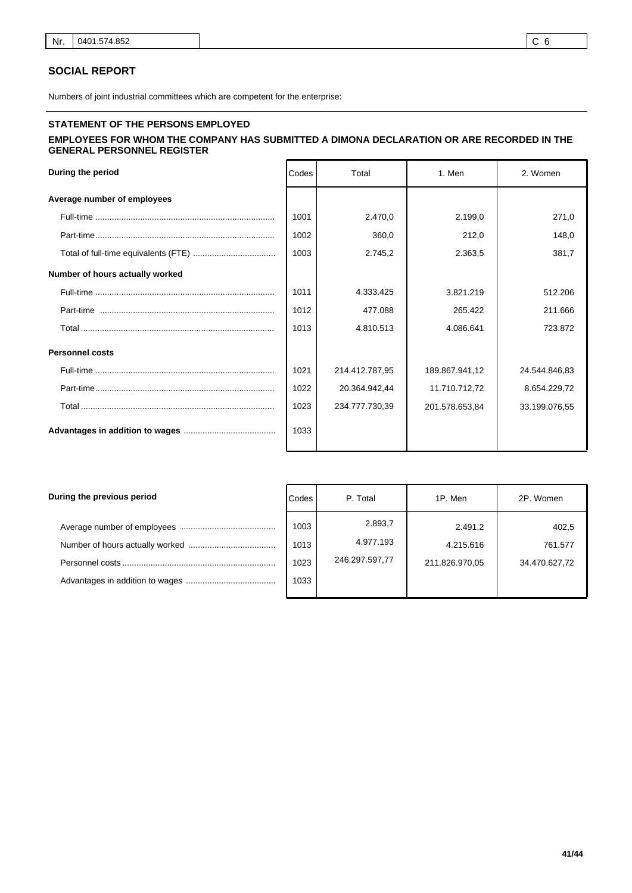#### **SOCIAL REPORT**

Numbers of joint industrial committees which are competent for the enterprise:

# **STATEMENT OF THE PERSONS EMPLOYED**

### **EMPLOYEES FOR WHOM THE COMPANY HAS SUBMITTED A DIMONA DECLARATION OR ARE RECORDED IN THE GENERAL PERSONNEL REGISTER**

| During the period               | Codes | Total          | 1. Men         | 2. Women      |
|---------------------------------|-------|----------------|----------------|---------------|
| Average number of employees     |       |                |                |               |
|                                 | 1001  | 2.470.0        | 2.199.0        | 271,0         |
|                                 | 1002  | 360,0          | 212,0          | 148,0         |
|                                 | 1003  | 2.745.2        | 2.363.5        | 381,7         |
| Number of hours actually worked |       |                |                |               |
|                                 | 1011  | 4.333.425      | 3.821.219      | 512.206       |
|                                 | 1012  | 477.088        | 265.422        | 211.666       |
|                                 | 1013  | 4.810.513      | 4.086.641      | 723.872       |
| <b>Personnel costs</b>          |       |                |                |               |
|                                 | 1021  | 214.412.787,95 | 189.867.941.12 | 24.544.846.83 |
|                                 | 1022  | 20.364.942.44  | 11.710.712,72  | 8.654.229,72  |
|                                 | 1023  | 234.777.730.39 | 201.578.653.84 | 33.199.076,55 |
|                                 | 1033  |                |                |               |

| During the previous period | Codes                        | P. Total                               | 1P. Men                                | 2P. Women                         |
|----------------------------|------------------------------|----------------------------------------|----------------------------------------|-----------------------------------|
|                            | 1003<br>1013<br>1023<br>1033 | 2.893,7<br>4.977.193<br>246.297.597,77 | 2.491.2<br>4.215.616<br>211.826.970,05 | 402,5<br>761.577<br>34.470.627,72 |
|                            |                              |                                        |                                        |                                   |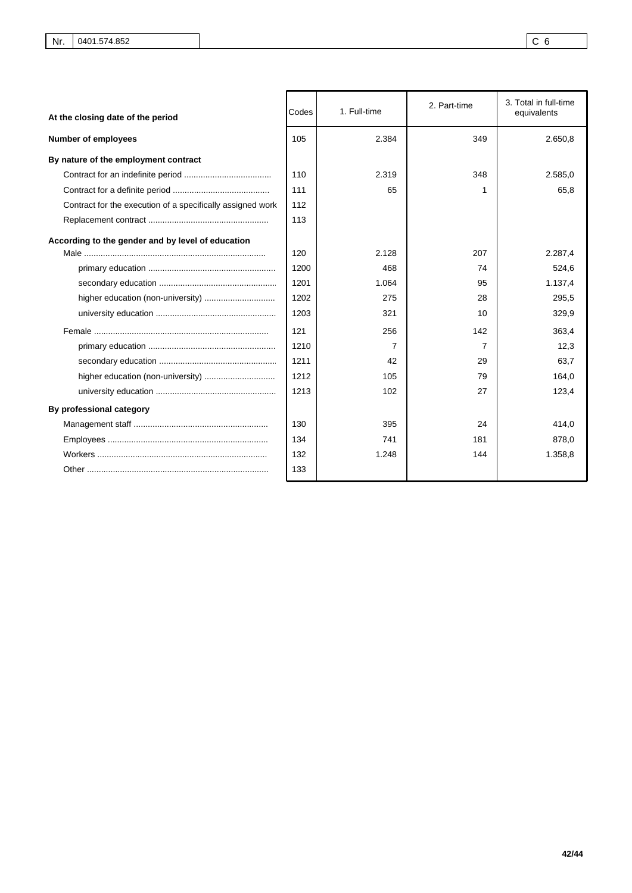| At the closing date of the period                          | Codes | 1. Full-time | 2. Part-time | 3. Total in full-time<br>equivalents |
|------------------------------------------------------------|-------|--------------|--------------|--------------------------------------|
| <b>Number of employees</b>                                 | 105   | 2.384        | 349          | 2.650,8                              |
| By nature of the employment contract                       |       |              |              |                                      |
|                                                            | 110   | 2.319        | 348          | 2.585.0                              |
|                                                            | 111   | 65           |              | 65,8                                 |
| Contract for the execution of a specifically assigned work | 112   |              |              |                                      |
|                                                            | 113   |              |              |                                      |
| According to the gender and by level of education          |       |              |              |                                      |
|                                                            | 120   | 2.128        | 207          | 2.287.4                              |
|                                                            | 1200  | 468          | 74           | 524,6                                |
|                                                            | 1201  | 1.064        | 95           | 1.137,4                              |
|                                                            | 1202  | 275          | 28           | 295,5                                |
|                                                            | 1203  | 321          | 10           | 329,9                                |
|                                                            | 121   | 256          | 142          | 363.4                                |
|                                                            | 1210  | 7            | 7            | 12,3                                 |
|                                                            | 1211  | 42           | 29           | 63.7                                 |
|                                                            | 1212  | 105          | 79           | 164,0                                |
|                                                            | 1213  | 102          | 27           | 123,4                                |
| By professional category                                   |       |              |              |                                      |
|                                                            | 130   | 395          | 24           | 414,0                                |
|                                                            | 134   | 741          | 181          | 878,0                                |
|                                                            | 132   | 1.248        | 144          | 1.358,8                              |
|                                                            | 133   |              |              |                                      |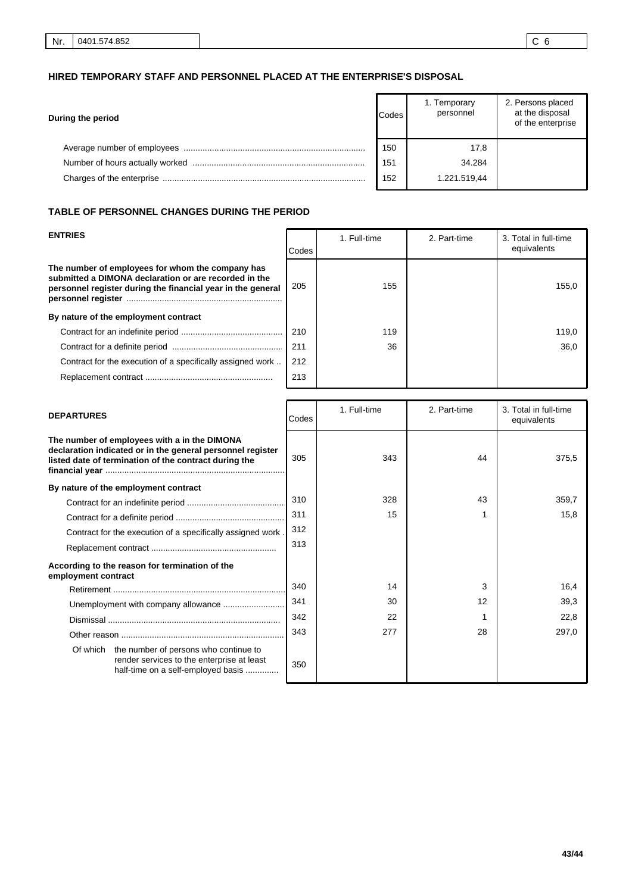### **HIRED TEMPORARY STAFF AND PERSONNEL PLACED AT THE ENTERPRISE'S DISPOSAL**

| During the period | Codes | 1. Temporary<br>personnel | 2. Persons placed<br>at the disposal<br>of the enterprise |
|-------------------|-------|---------------------------|-----------------------------------------------------------|
|                   | 150   | 17,8                      |                                                           |
|                   | 151   | 34.284                    |                                                           |
|                   | 152   | 1.221.519.44              |                                                           |

#### **TABLE OF PERSONNEL CHANGES DURING THE PERIOD**

| <b>ENTRIES</b>                                                                                                                                                           | Codes | 1. Full-time | 2. Part-time | 3. Total in full-time<br>equivalents |
|--------------------------------------------------------------------------------------------------------------------------------------------------------------------------|-------|--------------|--------------|--------------------------------------|
| The number of employees for whom the company has<br>submitted a DIMONA declaration or are recorded in the<br>personnel register during the financial year in the general | 205   | 155          |              | 155,0                                |
| By nature of the employment contract                                                                                                                                     |       |              |              |                                      |
|                                                                                                                                                                          | 210   | 119          |              | 119,0                                |
|                                                                                                                                                                          | 211   | 36           |              | 36,0                                 |
| Contract for the execution of a specifically assigned work                                                                                                               | 212   |              |              |                                      |
|                                                                                                                                                                          | 213   |              |              |                                      |

| <b>DEPARTURES</b>                                                                                                                                                   | Codes | 1. Full-time | 2. Part-time | 3. Total in full-time<br>equivalents |
|---------------------------------------------------------------------------------------------------------------------------------------------------------------------|-------|--------------|--------------|--------------------------------------|
| The number of employees with a in the DIMONA<br>declaration indicated or in the general personnel register<br>listed date of termination of the contract during the | 305   | 343          | 44           | 375,5                                |
| By nature of the employment contract                                                                                                                                |       |              |              |                                      |
|                                                                                                                                                                     | 310   | 328          | 43           | 359,7                                |
|                                                                                                                                                                     | 311   | 15           |              | 15,8                                 |
| Contract for the execution of a specifically assigned work.                                                                                                         | 312   |              |              |                                      |
|                                                                                                                                                                     | 313   |              |              |                                      |
| According to the reason for termination of the<br>employment contract                                                                                               |       |              |              |                                      |
|                                                                                                                                                                     | 340   | 14           | 3            | 16,4                                 |
|                                                                                                                                                                     | 341   | 30           | 12           | 39,3                                 |
|                                                                                                                                                                     | 342   | 22           |              | 22,8                                 |
|                                                                                                                                                                     | 343   | 277          | 28           | 297,0                                |
| Of which the number of persons who continue to<br>render services to the enterprise at least<br>half-time on a self-employed basis                                  | 350   |              |              |                                      |